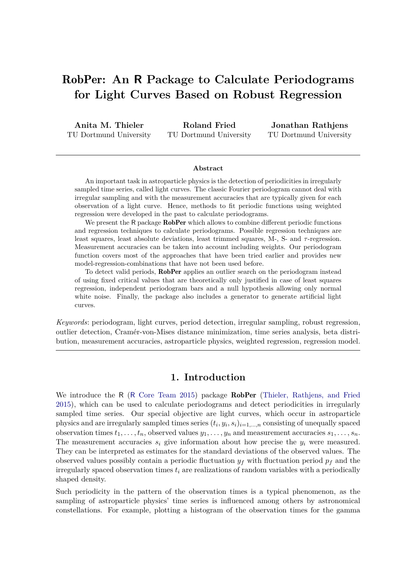# RobPer**: An R Package to Calculate Periodograms for Light Curves Based on Robust Regression**

**Anita M. Thieler** TU Dortmund University

**Roland Fried** TU Dortmund University

**Jonathan Rathjens** TU Dortmund University

#### **Abstract**

An important task in astroparticle physics is the detection of periodicities in irregularly sampled time series, called light curves. The classic Fourier periodogram cannot deal with irregular sampling and with the measurement accuracies that are typically given for each observation of a light curve. Hence, methods to fit periodic functions using weighted regression were developed in the past to calculate periodograms.

We present the R package RobPer which allows to combine different periodic functions and regression techniques to calculate periodograms. Possible regression techniques are least squares, least absolute deviations, least trimmed squares, M-, S- and *τ* -regression. Measurement accuracies can be taken into account including weights. Our periodogram function covers most of the approaches that have been tried earlier and provides new model-regression-combinations that have not been used before.

To detect valid periods, RobPer applies an outlier search on the periodogram instead of using fixed critical values that are theoretically only justified in case of least squares regression, independent periodogram bars and a null hypothesis allowing only normal white noise. Finally, the package also includes a generator to generate artificial light curves.

*Keywords*: periodogram, light curves, period detection, irregular sampling, robust regression, outlier detection, Cramér-von-Mises distance minimization, time series analysis, beta distribution, measurement accuracies, astroparticle physics, weighted regression, regression model.

### **1. Introduction**

We introduce the R (R Core Team 2015) package **RobPer** (Thieler, Rathjens, and Fried 2015), which can be used to calculate periodograms and detect periodicities in irregularly sampled time series. Our special objective are light curves, which occur in astroparticle physics and are irregularly sampled times series  $(t_i, y_i, s_i)_{i=1,\dots,n}$  consisting of unequally spaced observation times  $t_1, \ldots, t_n$ , observed values  $y_1, \ldots, y_n$  and measurement accuracies  $s_1, \ldots, s_n$ . The measurement accuracies *s<sup>i</sup>* give information about how precise the *y<sup>i</sup>* were measured. They can be interpreted as estimates for the standard deviations of the observed values. The observed values possibly contain a periodic fluctuation  $y_f$  with fluctuation period  $p_f$  and the irregularly spaced observation times  $t_i$  are realizations of random variables with a periodically shaped density.

Such periodicity in the pattern of the observation times is a typical phenomenon, as the sampling of astroparticle physics' time series is influenced among others by astronomical constellations. For example, plotting a histogram of the observation times for the gamma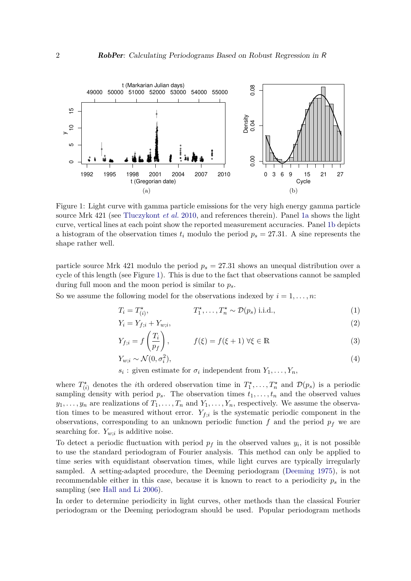

Figure 1: Light curve with gamma particle emissions for the very high energy gamma particle source Mrk 421 (see Tluczykont *et al.* 2010, and references therein). Panel 1a shows the light curve, vertical lines at each point show the reported measurement accuracies. Panel 1b depicts a histogram of the observation times  $t_i$  modulo the period  $p_s = 27.31$ . A sine represents the shape rather well.

particle source Mrk 421 modulo the period  $p_s = 27.31$  shows an unequal distribution over a cycle of this length (see Figure 1). This is due to the fact that observations cannot be sampled during full moon and the moon period is similar to *ps*.

So we assume the following model for the observations indexed by  $i = 1, \ldots, n$ :

$$
T_i = T_{(i)}^{\star}, \qquad T_1^{\star}, \dots, T_n^{\star} \sim \mathcal{D}(p_s) \text{ i.i.d.,}
$$
 (1)

$$
Y_i = Y_{f;i} + Y_{w;i},\tag{2}
$$

$$
Y_{f;i} = f\left(\frac{T_i}{p_f}\right), \qquad f(\xi) = f(\xi + 1) \,\forall \xi \in \mathbb{R} \tag{3}
$$

$$
Y_{w;i} \sim \mathcal{N}(0, \sigma_i^2),\tag{4}
$$

*s*<sub>*i*</sub>: given estimate for  $\sigma_i$  independent from  $Y_1, \ldots, Y_n$ ,

where  $T^*_{(i)}$  denotes the *i*th ordered observation time in  $T^*_1, \ldots, T^*_n$  and  $\mathcal{D}(p_s)$  is a periodic sampling density with period  $p_s$ . The observation times  $t_1, \ldots, t_n$  and the observed values  $y_1, \ldots, y_n$  are realizations of  $T_1, \ldots, T_n$  and  $Y_1, \ldots, Y_n$ , respectively. We assume the observation times to be measured without error.  $Y_{f;i}$  is the systematic periodic component in the observations, corresponding to an unknown periodic function *f* and the period *p<sup>f</sup>* we are searching for.  $Y_{w;i}$  is additive noise.

To detect a periodic fluctuation with period  $p_f$  in the observed values  $y_i$ , it is not possible to use the standard periodogram of Fourier analysis. This method can only be applied to time series with equidistant observation times, while light curves are typically irregularly sampled. A setting-adapted procedure, the Deeming periodogram (Deeming 1975), is not recommendable either in this case, because it is known to react to a periodicity *p<sup>s</sup>* in the sampling (see Hall and Li 2006).

In order to determine periodicity in light curves, other methods than the classical Fourier periodogram or the Deeming periodogram should be used. Popular periodogram methods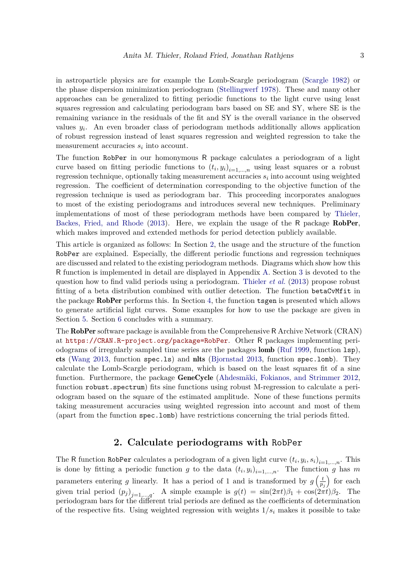in astroparticle physics are for example the Lomb-Scargle periodogram (Scargle 1982) or the phase dispersion minimization periodogram (Stellingwerf 1978). These and many other approaches can be generalized to fitting periodic functions to the light curve using least squares regression and calculating periodogram bars based on SE and SY, where SE is the remaining variance in the residuals of the fit and SY is the overall variance in the observed values  $y_i$ . An even broader class of periodogram methods additionally allows application of robust regression instead of least squares regression and weighted regression to take the measurement accuracies *s<sup>i</sup>* into account.

The function RobPer in our homonymous R package calculates a periodogram of a light curve based on fitting periodic functions to  $(t_i, y_i)_{i=1,\dots,n}$  using least squares or a robust regression technique, optionally taking measurement accuracies *s<sup>i</sup>* into account using weighted regression. The coefficient of determination corresponding to the objective function of the regression technique is used as periodogram bar. This proceeding incorporates analogues to most of the existing periodograms and introduces several new techniques. Preliminary implementations of most of these periodogram methods have been compared by Thieler, Backes, Fried, and Rhode (2013). Here, we explain the usage of the R package RobPer, which makes improved and extended methods for period detection publicly available.

This article is organized as follows: In Section 2, the usage and the structure of the function RobPer are explained. Especially, the different periodic functions and regression techniques are discussed and related to the existing periodogram methods. Diagrams which show how this R function is implemented in detail are displayed in Appendix A. Section 3 is devoted to the question how to find valid periods using a periodogram. Thieler *et al.* (2013) propose robust fitting of a beta distribution combined with outlier detection. The function betaCvMfit in the package RobPer performs this. In Section 4, the function tsgen is presented which allows to generate artificial light curves. Some examples for how to use the package are given in Section 5. Section 6 concludes with a summary.

The RobPer software package is available from the Comprehensive R Archive Network (CRAN) at <https://CRAN.R-project.org/package=RobPer>. Other R packages implementing periodograms of irregularly sampled time series are the packages lomb (Ruf 1999, function lsp), cts (Wang 2013, function spec.ls) and nlts (Bjornstad 2013, function spec.lomb). They calculate the Lomb-Scargle periodogram, which is based on the least squares fit of a sine function. Furthermore, the package GeneCycle (Ahdesmäki, Fokianos, and Strimmer 2012, function robust.spectrum) fits sine functions using robust M-regression to calculate a periodogram based on the square of the estimated amplitude. None of these functions permits taking measurement accuracies using weighted regression into account and most of them (apart from the function spec.lomb) have restrictions concerning the trial periods fitted.

# **2. Calculate periodograms with** RobPer

The R function RobPer calculates a periodogram of a given light curve  $(t_i, y_i, s_i)_{i=1,\dots,n}$ . This is done by fitting a periodic function *g* to the data  $(t_i, y_i)_{i=1,\dots,n}$ . The function *g* has *m* parameters entering *g* linearly. It has a period of 1 and is transformed by  $g\left(\frac{t}{n}\right)$  $\overline{p_j}$ ) for each given trial period  $(p_j)_{j=1,\dots,q}$ . A simple example is  $g(t) = \sin(2\pi t)\beta_1 + \cos(2\pi t)\beta_2$ . The periodogram bars for the different trial periods are defined as the coefficients of determination of the respective fits. Using weighted regression with weights  $1/s<sub>i</sub>$  makes it possible to take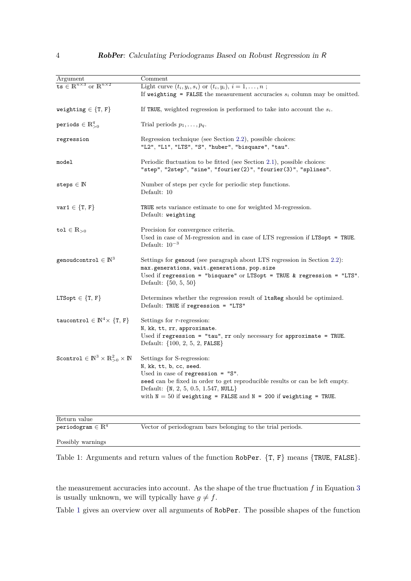| Argument                                                               | Comment                                                                                                                                                                                                                                                                                           |
|------------------------------------------------------------------------|---------------------------------------------------------------------------------------------------------------------------------------------------------------------------------------------------------------------------------------------------------------------------------------------------|
| ts $\in \mathbb{R}^{n \times 3}$ or $\mathbb{R}^{n \times 2}$          | Light curve $(t_i, y_i, s_i)$ or $(t_i, y_i), i = 1, \ldots, n;$<br>If weighting = FALSE the measurement accuracies $s_i$ column may be omitted.                                                                                                                                                  |
| $\texttt{weighting} \in \{\texttt{T},\,\texttt{F}\}$                   | If TRUE, weighted regression is performed to take into account the $s_i$ .                                                                                                                                                                                                                        |
| periods $\in \mathbb{R}^q_{>0}$                                        | Trial periods $p_1, \ldots, p_q$ .                                                                                                                                                                                                                                                                |
| regression                                                             | Regression technique (see Section 2.2), possible choices:<br>"L2", "L1", "LTS", "S", "huber", "bisquare", "tau".                                                                                                                                                                                  |
| model                                                                  | Periodic fluctuation to be fitted (see Section 2.1), possible choices:<br>"step", "2step", "sine", "fourier(2)", "fourier(3)", "splines".                                                                                                                                                         |
| steps $\in \mathbb{N}$                                                 | Number of steps per cycle for periodic step functions.<br>Default: 10                                                                                                                                                                                                                             |
| $var1 \in \{T, F\}$                                                    | TRUE sets variance estimate to one for weighted M-regression.<br>Default: weighting                                                                                                                                                                                                               |
| tol $\in \mathbb{R}_{>0}$                                              | Precision for convergence criteria.<br>Used in case of M-regression and in case of LTS regression if LTSopt = TRUE.<br>Default: $10^{-3}$                                                                                                                                                         |
| genoudcontrol $\in \mathbb{N}^3$                                       | Settings for genoud (see paragraph about LTS regression in Section 2.2):<br>max.generations, wait.generations, pop.size<br>Used if regression = "bisquare" or LTSopt = TRUE & regression = "LTS".<br>Default: $\{50, 5, 50\}$                                                                     |
| LTSopt $\in \{T, F\}$                                                  | Determines whether the regression result of 1tsReg should be optimized.<br>Default: TRUE if regression = "LTS"                                                                                                                                                                                    |
| taucontrol $\in \mathbb{N}^4 \times \{T, F\}$                          | Settings for $\tau$ -regression:<br>N, kk, tt, rr, approximate.<br>Used if regression = "tau", $rr$ only necessary for approximate = TRUE.<br>Default: {100, 2, 5, 2, FALSE}                                                                                                                      |
| Scontrol $\in \mathbb{N}^3 \times \mathbb{R}_{>0}^2 \times \mathbb{N}$ | Settings for S-regression:<br>N, kk, tt, b, cc, seed.<br>Used in case of regression $=$ "S".<br>seed can be fixed in order to get reproducible results or can be left empty.<br>Default: $\{N, 2, 5, 0.5, 1.547, NULL\}$<br>with $N = 50$ if weighting = FALSE and $N = 200$ if weighting = TRUE. |
| Return value                                                           |                                                                                                                                                                                                                                                                                                   |
| $\texttt{periodogram} \in \mathbb{R}^q$                                | Vector of periodogram bars belonging to the trial periods.                                                                                                                                                                                                                                        |

Possibly warnings

Table 1: Arguments and return values of the function RobPer. {T, F} means {TRUE, FALSE}.

the measurement accuracies into account. As the shape of the true fluctuation  $f$  in Equation 3 is usually unknown, we will typically have  $g \neq f$ .

Table 1 gives an overview over all arguments of RobPer. The possible shapes of the function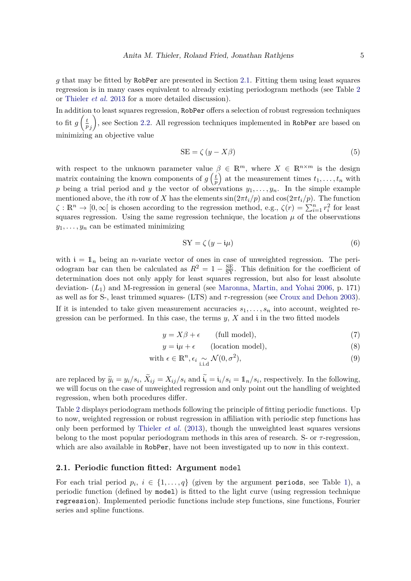*g* that may be fitted by RobPer are presented in Section 2.1. Fitting them using least squares regression is in many cases equivalent to already existing periodogram methods (see Table 2 or Thieler *et al.* 2013 for a more detailed discussion).

In addition to least squares regression, RobPer offers a selection of robust regression techniques to fit *g*  $\int_{t}$ *p j*  $\setminus$ , see Section 2.2. All regression techniques implemented in RobPer are based on minimizing an objective value

$$
SE = \zeta (y - X\beta) \tag{5}
$$

with respect to the unknown parameter value  $\beta \in \mathbb{R}^m$ , where  $X \in \mathbb{R}^{n \times m}$  is the design matrix containing the known components of  $g\left(\frac{t}{r}\right)$ *p* ) at the measurement times  $t_1, \ldots, t_n$  with p being a trial period and y the vector of observations  $y_1, \ldots, y_n$ . In the simple example mentioned above, the *i*th row of *X* has the elements  $\sin(2\pi t_i/p)$  and  $\cos(2\pi t_i/p)$ . The function  $\zeta : \mathbb{R}^n \to [0, \infty[$  is chosen according to the regression method, e.g.,  $\zeta(r) = \sum_{i=1}^n r_i^2$  for least squares regression. Using the same regression technique, the location  $\mu$  of the observations  $y_1, \ldots, y_n$  can be estimated minimizing

$$
SY = \zeta (y - i\mu)
$$
 (6)

with  $i = 1$ <sub>n</sub> being an *n*-variate vector of ones in case of unweighted regression. The periodogram bar can then be calculated as  $R^2 = 1 - \frac{SE}{SY}$ . This definition for the coefficient of determination does not only apply for least squares regression, but also for least absolute deviation- (*L*1) and M-regression in general (see Maronna, Martin, and Yohai 2006, p. 171) as well as for S-, least trimmed squares- (LTS) and *τ* -regression (see Croux and Dehon 2003). If it is intended to take given measurement accuracies  $s_1, \ldots, s_n$  into account, weighted regression can be performed. In this case, the terms *y*, *X* and i in the two fitted models

$$
y = X\beta + \epsilon \qquad \text{(full model)},\tag{7}
$$

$$
y = i\mu + \epsilon \qquad \text{(location model)},\tag{8}
$$

with 
$$
\epsilon \in \mathbb{R}^n
$$
,  $\epsilon_i \underset{\text{i.i.d}}{\sim} \mathcal{N}(0, \sigma^2)$ , 
$$
(9)
$$

are replaced by  $\widetilde{y}_i = y_i/s_i$ ,  $\widetilde{X}_{ij} = X_{ij}/s_i$  and  $\widetilde{t}_i = \widetilde{t}_i/s_i = 1/n/s_i$ , respectively. In the following, we will focus on the case of unweighted regression and only point out the handling of weighted regression, when both procedures differ.

Table 2 displays periodogram methods following the principle of fitting periodic functions. Up to now, weighted regression or robust regression in affiliation with periodic step functions has only been performed by Thieler *et al.* (2013), though the unweighted least squares versions belong to the most popular periodogram methods in this area of research. S- or *τ* -regression, which are also available in RobPer, have not been investigated up to now in this context.

### **2.1. Periodic function fitted: Argument** model

For each trial period  $p_i, i \in \{1, ..., q\}$  (given by the argument periods, see Table 1), a periodic function (defined by model) is fitted to the light curve (using regression technique regression). Implemented periodic functions include step functions, sine functions, Fourier series and spline functions.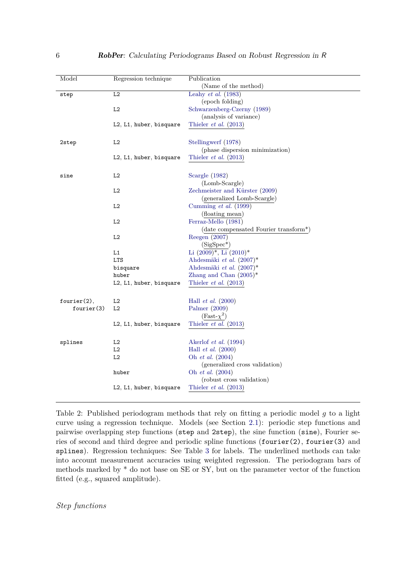| Model       | Regression technique    | Publication                           |
|-------------|-------------------------|---------------------------------------|
|             |                         | (Name of the method)                  |
| step        | L2                      | Leahy <i>et al.</i> $(1983)$          |
|             |                         | (epoch folding)                       |
|             | L2                      | Schwarzenberg-Czerny (1989)           |
|             |                         |                                       |
|             |                         | (analysis of variance)                |
|             | L2, L1, huber, bisquare | Thieler $et \ al. (2013)$             |
|             |                         |                                       |
| 2step       | L2                      | Stellingwerf (1978)                   |
|             |                         | (phase dispersion minimization)       |
|             |                         |                                       |
|             | L2, L1, huber, bisquare | Thieler <i>et al.</i> $(2013)$        |
|             |                         |                                       |
| sine        | L2                      | Scargle $(1982)$                      |
|             |                         | (Lomb-Scargle)                        |
|             | L2                      | Zechmeister and Kürster (2009)        |
|             |                         | (generalized Lomb-Scargle)            |
|             |                         |                                       |
|             | L2                      | Cumming $et \ al. (1999)$             |
|             |                         | (floating mean)                       |
|             | L2                      | Ferraz-Mello (1981)                   |
|             |                         | (date compensated Fourier transform*) |
|             | L2                      | Reegen (2007)                         |
|             |                         | $(SigSpec^*)$                         |
|             | L1                      | Li $(2009)^*$ , Li $(2010)^*$         |
|             | <b>LTS</b>              | Ahdesmäki et al. $(2007)^*$           |
|             | bisquare                | Ahdesmäki et al. $(2007)^*$           |
|             |                         |                                       |
|             | huber                   | Zhang and Chan $(2005)^*$             |
|             | L2, L1, huber, bisquare | Thieler <i>et al.</i> $(2013)$        |
|             |                         |                                       |
| fourier(2), | L2                      | Hall <i>et al.</i> $(2000)$           |
| fourier(3)  | L2                      | Palmer (2009)                         |
|             |                         | $(Fast-\chi^2)$                       |
|             |                         |                                       |
|             | L2, L1, huber, bisquare | Thieler $et$ al. (2013)               |
|             |                         |                                       |
| splines     | L2                      | Akerlof <i>et al.</i> $(1994)$        |
|             | L2                      | Hall <i>et al.</i> $(2000)$           |
|             | L2                      | Oh et al. (2004)                      |
|             |                         | (generalized cross validation)        |
|             |                         |                                       |
|             | huber                   | Oh et al. (2004)                      |
|             |                         | (robust cross validation)             |
|             | L2, L1, huber, bisquare | Thieler <i>et al.</i> $(2013)$        |
|             |                         |                                       |
|             |                         |                                       |

Table 2: Published periodogram methods that rely on fitting a periodic model *g* to a light curve using a regression technique. Models (see Section 2.1): periodic step functions and pairwise overlapping step functions (step and 2step), the sine function (sine), Fourier series of second and third degree and periodic spline functions (fourier(2), fourier(3) and splines). Regression techniques: See Table 3 for labels. The underlined methods can take into account measurement accuracies using weighted regression. The periodogram bars of methods marked by \* do not base on SE or SY, but on the parameter vector of the function fitted (e.g., squared amplitude).

*Step functions*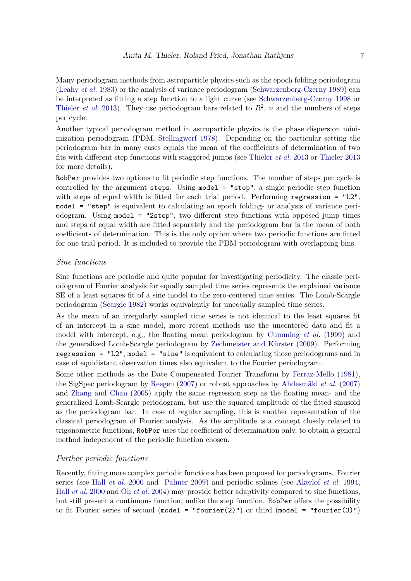Many periodogram methods from astroparticle physics such as the epoch folding periodogram (Leahy *et al.* 1983) or the analysis of variance periodogram (Schwarzenberg-Czerny 1989) can be interpreted as fitting a step function to a light curve (see Schwarzenberg-Czerny 1998 or Thieler *et al.* 2013). They use periodogram bars related to  $R^2$ , *n* and the numbers of steps per cycle.

Another typical periodogram method in astroparticle physics is the phase dispersion minimization periodogram (PDM, Stellingwerf 1978). Depending on the particular setting the periodogram bar in many cases equals the mean of the coefficients of determination of two fits with different step functions with staggered jumps (see Thieler *et al.* 2013 or Thieler 2013 for more details).

RobPer provides two options to fit periodic step functions. The number of steps per cycle is controlled by the argument steps. Using model = "step", a single periodic step function with steps of equal width is fitted for each trial period. Performing regression = "L2", model = "step" is equivalent to calculating an epoch folding- or analysis of variance periodogram. Using model = "2step", two different step functions with opposed jump times and steps of equal width are fitted separately and the periodogram bar is the mean of both coefficients of determination. This is the only option where two periodic functions are fitted for one trial period. It is included to provide the PDM periodogram with overlapping bins.

#### *Sine functions*

Sine functions are periodic and quite popular for investigating periodicity. The classic periodogram of Fourier analysis for equally sampled time series represents the explained variance SE of a least squares fit of a sine model to the zero-centered time series. The Lomb-Scargle periodogram (Scargle 1982) works equivalently for unequally sampled time series.

As the mean of an irregularly sampled time series is not identical to the least squares fit of an intercept in a sine model, more recent methods use the uncentered data and fit a model with intercept, e.g., the floating mean periodogram by Cumming *et al.* (1999) and the generalized Lomb-Scargle periodogram by Zechmeister and Kürster (2009). Performing regression =  $"L2"$ , model =  $"sine"$  is equivalent to calculating those periodograms and in case of equidistant observation times also equivalent to the Fourier periodogram.

Some other methods as the Date Compensated Fourier Transform by Ferraz-Mello (1981), the SigSpec periodogram by Reegen (2007) or robust approaches by Ahdesmäki *et al.* (2007) and Zhang and Chan (2005) apply the same regression step as the floating mean- and the generalized Lomb-Scargle periodogram, but use the squared amplitude of the fitted sinusoid as the periodogram bar. In case of regular sampling, this is another representation of the classical periodogram of Fourier analysis. As the amplitude is a concept closely related to trigonometric functions, RobPer uses the coefficient of determination only, to obtain a general method independent of the periodic function chosen.

### *Further periodic functions*

Recently, fitting more complex periodic functions has been proposed for periodograms. Fourier series (see Hall *et al.* 2000 and Palmer 2009) and periodic splines (see Akerlof *et al.* 1994, Hall *et al.* 2000 and Oh *et al.* 2004) may provide better adaptivity compared to sine functions, but still present a continuous function, unlike the step function. RobPer offers the possibility to fit Fourier series of second (model = "fourier(2)") or third (model = "fourier(3)")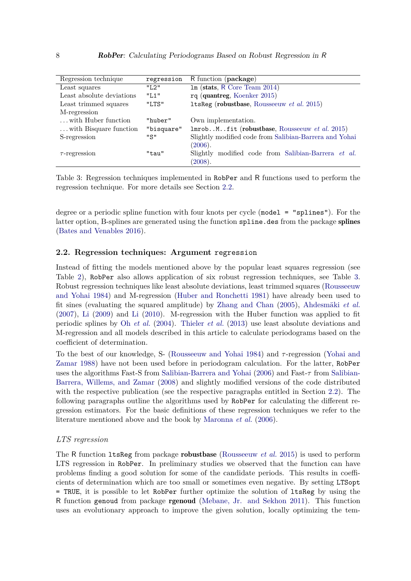| Regression technique      | regression | R function (package)                                   |
|---------------------------|------------|--------------------------------------------------------|
| Least squares             | "I.2"      | $lm$ (stats, R Core Team 2014)                         |
| Least absolute deviations | "L1"       | rq (quantreg, Koenker 2015)                            |
| Least trimmed squares     | "LTS"      | 1tsReg (robustbase, Rousseeuw et al. 2015)             |
| M-regression              |            |                                                        |
| with Huber function       | "huber"    | Own implementation.                                    |
| with Bisquare function    | "bisquare" | ImrobMfit (robustbase, Rousseeuw et al. 2015)          |
| S-regression              | "S"        | Slightly modified code from Salibian-Barrera and Yohai |
|                           |            | (2006).                                                |
| $\tau$ -regression        | "tau"      | Slightly modified code from Salibian-Barrera et al.    |
|                           |            | (2008).                                                |

Table 3: Regression techniques implemented in RobPer and R functions used to perform the regression technique. For more details see Section 2.2.

degree or a periodic spline function with four knots per cycle (model = "splines"). For the latter option, B-splines are generated using the function spline.des from the package splines (Bates and Venables 2016).

### **2.2. Regression techniques: Argument** regression

Instead of fitting the models mentioned above by the popular least squares regression (see Table 2), RobPer also allows application of six robust regression techniques, see Table 3. Robust regression techniques like least absolute deviations, least trimmed squares (Rousseeuw and Yohai 1984) and M-regression (Huber and Ronchetti 1981) have already been used to fit sines (evaluating the squared amplitude) by Zhang and Chan (2005), Ahdesmäki *et al.* (2007), Li (2009) and Li (2010). M-regression with the Huber function was applied to fit periodic splines by Oh *et al.* (2004). Thieler *et al.* (2013) use least absolute deviations and M-regression and all models described in this article to calculate periodograms based on the coefficient of determination.

To the best of our knowledge, S- (Rousseeuw and Yohai 1984) and *τ* -regression (Yohai and Zamar 1988) have not been used before in periodogram calculation. For the latter, RobPer uses the algorithms Fast-S from Salibian-Barrera and Yohai (2006) and Fast-*τ* from Salibian-Barrera, Willems, and Zamar (2008) and slightly modified versions of the code distributed with the respective publication (see the respective paragraphs entitled in Section 2.2). The following paragraphs outline the algorithms used by RobPer for calculating the different regression estimators. For the basic definitions of these regression techniques we refer to the literature mentioned above and the book by Maronna *et al.* (2006).

### *LTS regression*

The R function ltsReg from package robustbase (Rousseeuw *et al.* 2015) is used to perform LTS regression in RobPer. In preliminary studies we observed that the function can have problems finding a good solution for some of the candidate periods. This results in coefficients of determination which are too small or sometimes even negative. By setting LTSopt = TRUE, it is possible to let RobPer further optimize the solution of ltsReg by using the R function genoud from package rgenoud (Mebane, Jr. and Sekhon 2011). This function uses an evolutionary approach to improve the given solution, locally optimizing the tem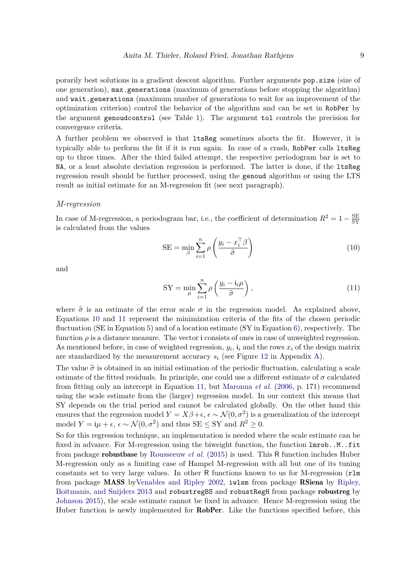porarily best solutions in a gradient descent algorithm. Further arguments pop.size (size of one generation), max.generations (maximum of generations before stopping the algorithm) and wait.generations (maximum number of generations to wait for an improvement of the optimization criterion) control the behavior of the algorithm and can be set in RobPer by the argument genoudcontrol (see Table 1). The argument tol controls the precision for convergence criteria.

A further problem we observed is that ltsReg sometimes aborts the fit. However, it is typically able to perform the fit if it is run again. In case of a crash, RobPer calls ltsReg up to three times. After the third failed attempt, the respective periodogram bar is set to NA, or a least absolute deviation regression is performed. The latter is done, if the ltsReg regression result should be further processed, using the genoud algorithm or using the LTS result as initial estimate for an M-regression fit (see next paragraph).

#### *M-regression*

In case of M-regression, a periodogram bar, i.e., the coefficient of determination  $R^2 = 1 - \frac{SE}{SY}$ SY is calculated from the values

SE = 
$$
\min_{\beta} \sum_{i=1}^{n} \rho \left( \frac{y_i - x_i^{\top} \beta}{\hat{\sigma}} \right)
$$
 (10)

and

$$
SY = \min_{\mu} \sum_{i=1}^{n} \rho \left( \frac{y_i - \mathfrak{i}_i \mu}{\hat{\sigma}} \right), \tag{11}
$$

where  $\hat{\sigma}$  is an estimate of the error scale  $\sigma$  in the regression model. As explained above, Equations 10 and 11 represent the minimization criteria of the fits of the chosen periodic fluctuation (SE in Equation 5) and of a location estimate (SY in Equation 6), respectively. The function  $\rho$  is a distance measure. The vector i consists of ones in case of unweighted regression. As mentioned before, in case of weighted regression,  $y_i$ ,  $\mathfrak{i}_i$  and the rows  $x_i$  of the design matrix are standardized by the measurement accuracy *s<sup>i</sup>* (see Figure 12 in Appendix A).

The value  $\hat{\sigma}$  is obtained in an initial estimation of the periodic fluctuation, calculating a scale estimate of the fitted residuals. In principle, one could use a different estimate of  $\sigma$  calculated from fitting only an intercept in Equation 11, but Maronna *et al.* (2006, p. 171) recommend using the scale estimate from the (larger) regression model. In our context this means that SY depends on the trial period and cannot be calculated globally. On the other hand this ensures that the regression model  $Y = X\beta + \epsilon$ ,  $\epsilon \sim \mathcal{N}(0, \sigma^2)$  is a generalization of the intercept model  $Y = \mathfrak{i}\mu + \epsilon$ ,  $\epsilon \sim \mathcal{N}(0, \sigma^2)$  and thus SE  $\leq$  SY and  $R^2 \geq 0$ .

So for this regression technique, an implementation is needed where the scale estimate can be fixed in advance. For M-regression using the biweight function, the function lmrob..M..fit from package robustbase by Rousseeuw *et al.* (2015) is used. This R function includes Huber M-regression only as a limiting case of Hampel M-regression with all but one of its tuning constants set to very large values. In other R functions known to us for M-regression (rlm from package MASS byVenables and Ripley 2002, iwlsm from package RSiena by Ripley, Boitmanis, and Snijders 2013 and robustregBS and robustRegH from package robustreg by Johnson 2015), the scale estimate cannot be fixed in advance. Hence M-regression using the Huber function is newly implemented for **RobPer**. Like the functions specified before, this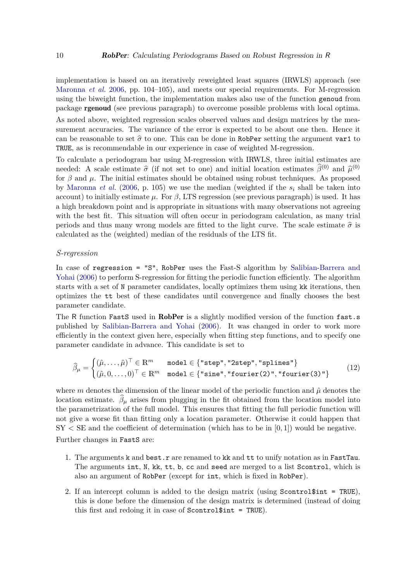implementation is based on an iteratively reweighted least squares (IRWLS) approach (see Maronna *et al.* 2006, pp. 104–105), and meets our special requirements. For M-regression using the biweight function, the implementation makes also use of the function genoud from package rgenoud (see previous paragraph) to overcome possible problems with local optima.

As noted above, weighted regression scales observed values and design matrices by the measurement accuracies. The variance of the error is expected to be about one then. Hence it can be reasonable to set  $\hat{\sigma}$  to one. This can be done in RobPer setting the argument var1 to TRUE, as is recommendable in our experience in case of weighted M-regression.

To calculate a periodogram bar using M-regression with IRWLS, three initial estimates are needed: A scale estimate  $\hat{\sigma}$  (if not set to one) and initial location estimates  $\hat{\beta}^{(0)}$  and  $\hat{\mu}^{(0)}$ for  $\beta$  and  $\mu$ . The initial estimates should be obtained using robust techniques. As proposed by Maronna *et al.* (2006, p. 105) we use the median (weighted if the *s<sup>i</sup>* shall be taken into account) to initially estimate  $\mu$ . For  $\beta$ , LTS regression (see previous paragraph) is used. It has a high breakdown point and is appropriate in situations with many observations not agreeing with the best fit. This situation will often occur in periodogram calculation, as many trial periods and thus many wrong models are fitted to the light curve. The scale estimate  $\hat{\sigma}$  is calculated as the (weighted) median of the residuals of the LTS fit.

#### *S-regression*

In case of regression = "S", RobPer uses the Fast-S algorithm by Salibian-Barrera and Yohai (2006) to perform S-regression for fitting the periodic function efficiently. The algorithm starts with a set of N parameter candidates, locally optimizes them using kk iterations, then optimizes the tt best of these candidates until convergence and finally chooses the best parameter candidate.

The R function FastS used in RobPer is a slightly modified version of the function fast.s published by Salibian-Barrera and Yohai (2006). It was changed in order to work more efficiently in the context given here, especially when fitting step functions, and to specify one parameter candidate in advance. This candidate is set to

$$
\widehat{\beta}_{\mu} = \begin{cases}\n(\hat{\mu}, \dots, \hat{\mu})^{\top} \in \mathbb{R}^{m} & \text{model} \in \{\text{"step", "2step", "splines"}\} \\
(\hat{\mu}, 0, \dots, 0)^{\top} \in \mathbb{R}^{m} & \text{model} \in \{\text{"sine", "fourier(2)", "fourier(3)"}\}\n\end{cases}
$$
\n(12)

where *m* denotes the dimension of the linear model of the periodic function and  $\hat{\mu}$  denotes the location estimate.  $\beta_{\mu}$  arises from plugging in the fit obtained from the location model into the parametrization of the full model. This ensures that fitting the full periodic function will not give a worse fit than fitting only a location parameter. Otherwise it could happen that  $SY < SE$  and the coefficient of determination (which has to be in  $[0,1]$ ) would be negative. Further changes in FastS are:

- 1. The arguments k and best.r are renamed to kk and tt to unify notation as in FastTau. The arguments int, N, kk, tt, b, cc and seed are merged to a list Scontrol, which is also an argument of RobPer (except for int, which is fixed in RobPer).
- 2. If an intercept column is added to the design matrix (using Scontrol\$int = TRUE), this is done before the dimension of the design matrix is determined (instead of doing this first and redoing it in case of Scontrol\$int = TRUE).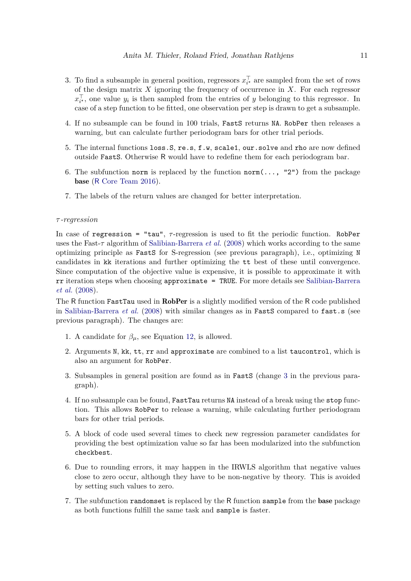- 3. To find a subsample in general position, regressors  $x_i^{\dagger}$  are sampled from the set of rows of the design matrix *X* ignoring the frequency of occurrence in *X*. For each regressor  $x_{i^*}^{\dagger}$ , one value  $y_i$  is then sampled from the entries of *y* belonging to this regressor. In case of a step function to be fitted, one observation per step is drawn to get a subsample.
- 4. If no subsample can be found in 100 trials, FastS returns NA. RobPer then releases a warning, but can calculate further periodogram bars for other trial periods.
- 5. The internal functions loss.S, re.s, f.w, scale1, our.solve and rho are now defined outside FastS. Otherwise R would have to redefine them for each periodogram bar.
- 6. The subfunction norm is replaced by the function  $\text{norm}(\ldots, 2^n)$  from the package base (R Core Team 2016).
- 7. The labels of the return values are changed for better interpretation.

#### *τ -regression*

In case of regression = "tau", *τ* -regression is used to fit the periodic function. RobPer uses the Fast-*τ* algorithm of Salibian-Barrera *et al.* (2008) which works according to the same optimizing principle as FastS for S-regression (see previous paragraph), i.e., optimizing N candidates in kk iterations and further optimizing the tt best of these until convergence. Since computation of the objective value is expensive, it is possible to approximate it with rr iteration steps when choosing approximate = TRUE. For more details see Salibian-Barrera *et al.* (2008).

The R function FastTau used in **RobPer** is a slightly modified version of the R code published in Salibian-Barrera *et al.* (2008) with similar changes as in **FastS** compared to fast.s (see previous paragraph). The changes are:

- 1. A candidate for  $\beta_{\mu}$ , see Equation 12, is allowed.
- 2. Arguments N, kk, tt, rr and approximate are combined to a list taucontrol, which is also an argument for RobPer.
- 3. Subsamples in general position are found as in FastS (change 3 in the previous paragraph).
- 4. If no subsample can be found, FastTau returns NA instead of a break using the stop function. This allows RobPer to release a warning, while calculating further periodogram bars for other trial periods.
- 5. A block of code used several times to check new regression parameter candidates for providing the best optimization value so far has been modularized into the subfunction checkbest.
- 6. Due to rounding errors, it may happen in the IRWLS algorithm that negative values close to zero occur, although they have to be non-negative by theory. This is avoided by setting such values to zero.
- 7. The subfunction randomset is replaced by the R function sample from the base package as both functions fulfill the same task and sample is faster.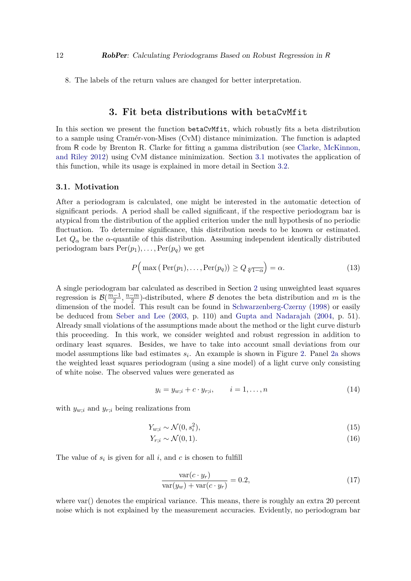8. The labels of the return values are changed for better interpretation.

### **3. Fit beta distributions with** betaCvMfit

In this section we present the function betaCvMfit, which robustly fits a beta distribution to a sample using Cramér-von-Mises (CvM) distance minimization. The function is adapted from R code by Brenton R. Clarke for fitting a gamma distribution (see Clarke, McKinnon, and Riley 2012) using CvM distance minimization. Section 3.1 motivates the application of this function, while its usage is explained in more detail in Section 3.2.

#### **3.1. Motivation**

After a periodogram is calculated, one might be interested in the automatic detection of significant periods. A period shall be called significant, if the respective periodogram bar is atypical from the distribution of the applied criterion under the null hypothesis of no periodic fluctuation. To determine significance, this distribution needs to be known or estimated. Let  $Q_{\alpha}$  be the  $\alpha$ -quantile of this distribution. Assuming independent identically distributed periodogram bars  $Per(p_1), \ldots, Per(p_q)$  we get

$$
P\Big(\max\big(\operatorname{Per}(p_1),\ldots,\operatorname{Per}(p_q)\big)\ge Q_{\sqrt[q]{1-\alpha}}\Big)=\alpha.\tag{13}
$$

A single periodogram bar calculated as described in Section 2 using unweighted least squares regression is  $\mathcal{B}(\frac{m-1}{2}, \frac{n-m}{2})$ -distributed, where  $\mathcal B$  denotes the beta distribution and *m* is the dimension of the model. This result can be found in Schwarzenberg-Czerny (1998) or easily be deduced from Seber and Lee (2003, p. 110) and Gupta and Nadarajah (2004, p. 51). Already small violations of the assumptions made about the method or the light curve disturb this proceeding. In this work, we consider weighted and robust regression in addition to ordinary least squares. Besides, we have to take into account small deviations from our model assumptions like bad estimates  $s_i$ . An example is shown in Figure 2. Panel 2a shows the weighted least squares periodogram (using a sine model) of a light curve only consisting of white noise. The observed values were generated as

$$
y_i = y_{w;i} + c \cdot y_{r;i}, \qquad i = 1, \dots, n
$$
 (14)

with  $y_{w;i}$  and  $y_{r;i}$  being realizations from

$$
Y_{w;i} \sim \mathcal{N}(0, s_i^2),\tag{15}
$$

$$
Y_{r;i} \sim \mathcal{N}(0,1). \tag{16}
$$

The value of  $s_i$  is given for all  $i$ , and  $c$  is chosen to fulfill

$$
\frac{\text{var}(c \cdot y_r)}{\text{var}(y_w) + \text{var}(c \cdot y_r)} = 0.2,\tag{17}
$$

where var() denotes the empirical variance. This means, there is roughly an extra 20 percent noise which is not explained by the measurement accuracies. Evidently, no periodogram bar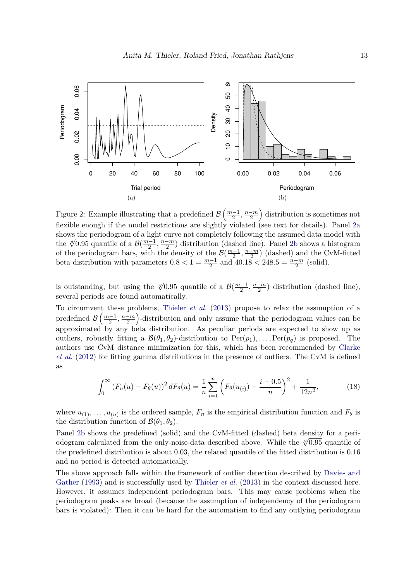

Figure 2: Example illustrating that a predefined  $\mathcal{B}\left(\frac{m-1}{2},\frac{n-m}{2}\right)$ ) distribution is sometimes not flexible enough if the model restrictions are slightly violated (see text for details). Panel 2a shows the periodogram of a light curve not completely following the assumed data model with the  $\sqrt[4]{0.95}$  quantile of a  $\mathcal{B}(\frac{m-1}{2}, \frac{n-m}{2})$  distribution (dashed line). Panel 2b shows a histogram of the periodogram bars, with the density of the  $\mathcal{B}(\frac{m-1}{2}, \frac{n-m}{2})$  (dashed) and the CvM-fitted beta distribution with parameters  $0.8 < 1 = \frac{m-1}{2}$  and  $40.18 < 248.5 = \frac{n-m}{2}$  (solid).

is outstanding, but using the  $\sqrt[q]{0.95}$  quantile of a  $\mathcal{B}(\frac{m-1}{2}, \frac{n-m}{2})$  distribution (dashed line), several periods are found automatically.

To circumvent these problems, Thieler *et al.* (2013) propose to relax the assumption of a predefined  $\mathcal{B}\left(\frac{m-1}{2}, \frac{n-m}{2}\right)$  -distribution and only assume that the periodogram values can be approximated by any beta distribution. As peculiar periods are expected to show up as outliers, robustly fitting a  $\mathcal{B}(\theta_1, \theta_2)$ -distribution to  $\text{Per}(p_1), \ldots, \text{Per}(p_a)$  is proposed. The authors use CvM distance minimization for this, which has been recommended by Clarke *et al.* (2012) for fitting gamma distributions in the presence of outliers. The CvM is defined as

$$
\int_0^\infty \left(F_n(u) - F_\theta(u)\right)^2 dF_\theta(u) = \frac{1}{n} \sum_{i=1}^n \left(F_\theta(u_{(i)}) - \frac{i - 0.5}{n}\right)^2 + \frac{1}{12n^2},\tag{18}
$$

where  $u_{(1)}, \ldots, u_{(n)}$  is the ordered sample,  $F_n$  is the empirical distribution function and  $F_\theta$  is the distribution function of  $\mathcal{B}(\theta_1, \theta_2)$ .

Panel 2b shows the predefined (solid) and the CvM-fitted (dashed) beta density for a periodogram calculated from the only-noise-data described above. While the  $\sqrt[4]{0.95}$  quantile of the predefined distribution is about 0.03, the related quantile of the fitted distribution is 0.16 and no period is detected automatically.

The above approach falls within the framework of outlier detection described by Davies and Gather (1993) and is successfully used by Thieler *et al.* (2013) in the context discussed here. However, it assumes independent periodogram bars. This may cause problems when the periodogram peaks are broad (because the assumption of independency of the periodogram bars is violated): Then it can be hard for the automatism to find any outlying periodogram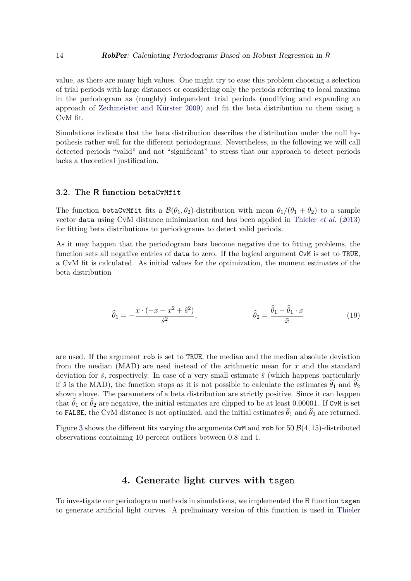value, as there are many high values. One might try to ease this problem choosing a selection of trial periods with large distances or considering only the periods referring to local maxima in the periodogram as (roughly) independent trial periods (modifying and expanding an approach of Zechmeister and Kürster 2009) and fit the beta distribution to them using a CvM fit.

Simulations indicate that the beta distribution describes the distribution under the null hypothesis rather well for the different periodograms. Nevertheless, in the following we will call detected periods "valid" and not "significant" to stress that our approach to detect periods lacks a theoretical justification.

### **3.2. The R function** betaCvMfit

The function betaCvMfit fits a  $\mathcal{B}(\theta_1, \theta_2)$ -distribution with mean  $\theta_1/(\theta_1 + \theta_2)$  to a sample vector data using CvM distance minimization and has been applied in Thieler *et al.* (2013) for fitting beta distributions to periodograms to detect valid periods.

As it may happen that the periodogram bars become negative due to fitting problems, the function sets all negative entries of data to zero. If the logical argument CvM is set to TRUE, a CvM fit is calculated. As initial values for the optimization, the moment estimates of the beta distribution

$$
\widehat{\theta}_1 = -\frac{\bar{x} \cdot (-\bar{x} + \bar{x}^2 + \hat{s}^2)}{\hat{s}^2}, \qquad \widehat{\theta}_2 = \frac{\widehat{\theta}_1 - \widehat{\theta}_1 \cdot \bar{x}}{\bar{x}} \tag{19}
$$

are used. If the argument rob is set to TRUE, the median and the median absolute deviation from the median (MAD) are used instead of the arithmetic mean for  $\bar{x}$  and the standard deviation for  $\hat{s}$ , respectively. In case of a very small estimate  $\hat{s}$  (which happens particularly if  $\hat{s}$  is the MAD), the function stops as it is not possible to calculate the estimates  $\hat{\theta}_1$  and  $\hat{\theta}_2$ shown above. The parameters of a beta distribution are strictly positive. Since it can happen that  $\hat{\theta}_1$  or  $\hat{\theta}_2$  are negative, the initial estimates are clipped to be at least 0.00001. If CvM is set to FALSE, the CvM distance is not optimized, and the initial estimates  $\hat{\theta}_1$  and  $\hat{\theta}_2$  are returned.

Figure 3 shows the different fits varying the arguments CvM and rob for 50  $\mathcal{B}(4, 15)$ -distributed observations containing 10 percent outliers between 0.8 and 1.

### **4. Generate light curves with** tsgen

To investigate our periodogram methods in simulations, we implemented the R function tsgen to generate artificial light curves. A preliminary version of this function is used in Thieler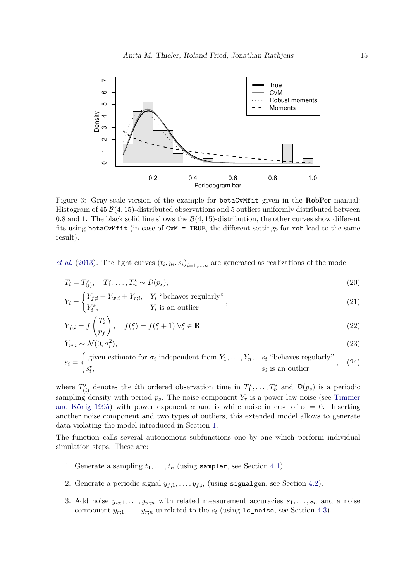

Figure 3: Gray-scale-version of the example for betaCvMfit given in the RobPer manual: Histogram of 45 B(4*,* 15)-distributed observations and 5 outliers uniformly distributed between 0.8 and 1. The black solid line shows the  $\mathcal{B}(4, 15)$ -distribution, the other curves show different fits using betaCvMfit (in case of CvM = TRUE, the different settings for rob lead to the same result).

*et al.* (2013). The light curves  $(t_i, y_i, s_i)_{i=1,\dots,n}$  are generated as realizations of the model

$$
T_i = T_{(i)}^{\star}, \quad T_1^{\star}, \dots, T_n^{\star} \sim \mathcal{D}(p_s), \tag{20}
$$

$$
Y_i = \begin{cases} Y_{f;i} + Y_{w;i} + Y_{r;i}, & Y_i \text{ "behaves regularly"} \\ Y_i^*, & Y_i \text{ is an outlier} \end{cases}
$$
 (21)

$$
Y_{f;i} = f\left(\frac{T_i}{p_f}\right), \quad f(\xi) = f(\xi + 1) \,\forall \xi \in \mathbb{R} \tag{22}
$$

$$
Y_{w;i} \sim \mathcal{N}(0, \sigma_i^2),
$$
\n
$$
\text{(given estimate for } \sigma_i \text{ independent from } Y_i \qquad Y_i \qquad s \text{. "behaves regularly"}
$$
\n
$$
(23)
$$

$$
s_i = \begin{cases} \text{given estimate for } \sigma_i \text{ independent from } Y_1, \dots, Y_n, \quad s_i \text{ "behaves regularly"} \\ s_i^*, \quad s_i \text{ is an outlier} \end{cases}, \quad (24)
$$

where  $T^*_{(i)}$  denotes the *i*th ordered observation time in  $T^*_1, \ldots, T^*_n$  and  $\mathcal{D}(p_s)$  is a periodic sampling density with period  $p_s$ . The noise component  $Y_r$  is a power law noise (see Timmer and König 1995) with power exponent  $\alpha$  and is white noise in case of  $\alpha = 0$ . Inserting another noise component and two types of outliers, this extended model allows to generate data violating the model introduced in Section 1.

The function calls several autonomous subfunctions one by one which perform individual simulation steps. These are:

- 1. Generate a sampling  $t_1, \ldots, t_n$  (using sampler, see Section 4.1).
- 2. Generate a periodic signal  $y_{f,1}, \ldots, y_{f,n}$  (using signalgen, see Section 4.2).
- 3. Add noise  $y_{w,1}, \ldots, y_{w,n}$  with related measurement accuracies  $s_1, \ldots, s_n$  and a noise component  $y_{r,1}, \ldots, y_{r,n}$  unrelated to the  $s_i$  (using  $1c$  noise, see Section 4.3).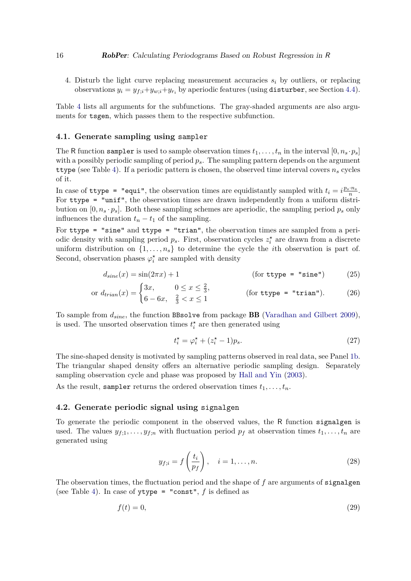4. Disturb the light curve replacing measurement accuracies *s<sup>i</sup>* by outliers, or replacing observations  $y_i = y_{f,i} + y_{w,i} + y_{r_i}$  by aperiodic features (using disturber, see Section 4.4).

Table 4 lists all arguments for the subfunctions. The gray-shaded arguments are also arguments for tsgen, which passes them to the respective subfunction.

### **4.1. Generate sampling using** sampler

The R function sampler is used to sample observation times  $t_1, \ldots, t_n$  in the interval  $[0, n_s \cdot p_s]$ with a possibly periodic sampling of period *ps*. The sampling pattern depends on the argument ttype (see Table 4). If a periodic pattern is chosen, the observed time interval covers  $n<sub>s</sub>$  cycles of it.

In case of ttype = "equi", the observation times are equidistantly sampled with  $t_i = i \frac{p_s \cdot n_s}{n}$ . For  $style$  = "unif", the observation times are drawn independently from a uniform distribution on  $[0, n_s \cdot p_s]$ . Both these sampling schemes are aperiodic, the sampling period  $p_s$  only influences the duration  $t_n - t_1$  of the sampling.

For ttype = "sine" and ttype = "trian", the observation times are sampled from a periodic density with sampling period  $p_s$ . First, observation cycles  $z_i^*$  are drawn from a discrete uniform distribution on  $\{1, \ldots, n_s\}$  to determine the cycle the *i*th observation is part of. Second, observation phases  $\varphi_i^*$  are sampled with density

$$
d_{sine}(x) = \sin(2\pi x) + 1
$$
 (for **type** = "sine") (25)

or 
$$
d_{\text{train}}(x) = \begin{cases} 3x, & 0 \le x \le \frac{2}{3}, \\ 6 - 6x, & \frac{2}{3} < x \le 1 \end{cases}
$$
 (for **type** = "train"). (26)

To sample from *dsine*, the function BBsolve from package BB (Varadhan and Gilbert 2009), is used. The unsorted observation times  $t_i^*$  are then generated using

$$
t_i^* = \varphi_i^* + (z_i^* - 1)p_s. \tag{27}
$$

The sine-shaped density is motivated by sampling patterns observed in real data, see Panel 1b. The triangular shaped density offers an alternative periodic sampling design. Separately sampling observation cycle and phase was proposed by Hall and Yin (2003).

As the result, sampler returns the ordered observation times  $t_1, \ldots, t_n$ .

### **4.2. Generate periodic signal using** signalgen

To generate the periodic component in the observed values, the R function signalgen is used. The values  $y_{f,1}, \ldots, y_{f,n}$  with fluctuation period  $p_f$  at observation times  $t_1, \ldots, t_n$  are generated using

$$
y_{f;i} = f\left(\frac{t_i}{p_f}\right), \quad i = 1, \dots, n. \tag{28}
$$

The observation times, the fluctuation period and the shape of f are arguments of signalgen (see Table 4). In case of ytype = "const", *f* is defined as

$$
f(t) = 0,\t\t(29)
$$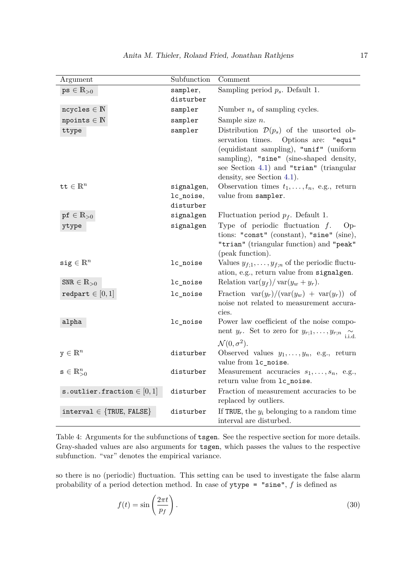| Argument                          | Subfunction            | Comment                                                                                                                                                                                                                                                           |
|-----------------------------------|------------------------|-------------------------------------------------------------------------------------------------------------------------------------------------------------------------------------------------------------------------------------------------------------------|
| $ps \in \mathbb{R}_{>0}$          | sampler,<br>disturber  | Sampling period $p_s$ . Default 1.                                                                                                                                                                                                                                |
| $ncycles \in \mathbb{N}$          | sampler                | Number $n_s$ of sampling cycles.                                                                                                                                                                                                                                  |
| $npoints \in \mathbb{N}$          | sampler                | Sample size $n$ .                                                                                                                                                                                                                                                 |
| ttype                             | sampler                | Distribution $\mathcal{D}(p_s)$ of the unsorted ob-<br>servation times.<br>Options are:<br>"equi"<br>(equidistant sampling), "unif" (uniform<br>sampling), "sine" (sine-shaped density,<br>see Section 4.1) and "trian" (triangular<br>density, see Section 4.1). |
| tt $\in \mathbb{R}^n$             | signalgen,             | Observation times $t_1, \ldots, t_n$ , e.g., return                                                                                                                                                                                                               |
|                                   | lc_noise,<br>disturber | value from sampler.                                                                                                                                                                                                                                               |
| $\mathsf{pf} \in \mathbb{R}_{>0}$ | signalgen              | Fluctuation period $p_f$ . Default 1.                                                                                                                                                                                                                             |
| ytype                             | signalgen              | Type of periodic fluctuation $f$ .<br>$Op-$<br>tions: "const" (constant), "sine" (sine),<br>"trian" (triangular function) and "peak"                                                                                                                              |
| $\texttt{sig} \in \mathbb{R}^n$   | lc_noise               | (peak function).<br>Values $y_{f,1}, \ldots, y_{f,n}$ of the periodic fluctu-<br>ation, e.g., return value from signalgen.                                                                                                                                        |
| $SNR \in \mathbb{R}_{>0}$         | lc_noise               | Relation $\text{var}(y_f)/\text{var}(y_w + y_r)$ .                                                                                                                                                                                                                |
| redpart $\in [0,1]$               | lc_noise               | Fraction $\text{var}(y_r)/(\text{var}(y_w) + \text{var}(y_r))$ of<br>noise not related to measurement accura-<br>cies.                                                                                                                                            |
| alpha                             | lc_noise               | Power law coefficient of the noise compo-<br>nent $y_r$ . Set to zero for $y_{r,1}, \ldots, y_{r;n}$ i.i.d.<br>$\mathcal{N}(0, \sigma^2)$ .                                                                                                                       |
| $\mathbf{y} \in \mathbbm{R}^n$    | disturber              | Observed values $y_1, \ldots, y_n$ , e.g., return<br>value from 1c_noise.                                                                                                                                                                                         |
| $s \in \mathbb{R}^n_{>0}$         | disturber              | Measurement accuracies $s_1, \ldots, s_n$ , e.g.,<br>return value from 1c_noise.                                                                                                                                                                                  |
| s.outlier.fraction $\in [0,1]$    | disturber              | Fraction of measurement accuracies to be<br>replaced by outliers.                                                                                                                                                                                                 |
| $interval \in \{TRUE, FALSE\}$    | disturber              | If TRUE, the $y_i$ belonging to a random time<br>interval are disturbed.                                                                                                                                                                                          |

Table 4: Arguments for the subfunctions of tsgen. See the respective section for more details. Gray-shaded values are also arguments for tsgen, which passes the values to the respective subfunction. "var" denotes the empirical variance.

so there is no (periodic) fluctuation. This setting can be used to investigate the false alarm probability of a period detection method. In case of ytype = "sine", *f* is defined as

$$
f(t) = \sin\left(\frac{2\pi t}{p_f}\right). \tag{30}
$$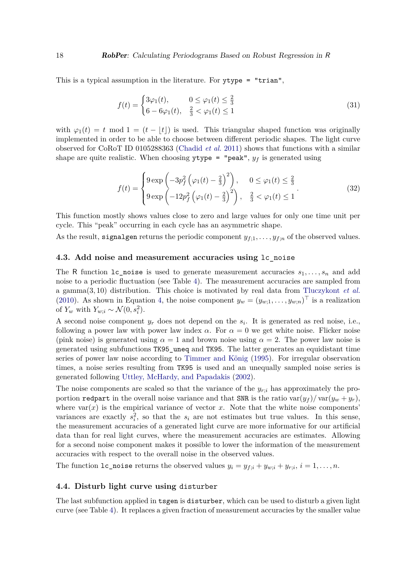This is a typical assumption in the literature. For ytype = "trian",

$$
f(t) = \begin{cases} 3\varphi_1(t), & 0 \le \varphi_1(t) \le \frac{2}{3} \\ 6 - 6\varphi_1(t), & \frac{2}{3} < \varphi_1(t) \le 1 \end{cases}
$$
(31)

with  $\varphi_1(t) = t \mod 1 = (t - |t|)$  is used. This triangular shaped function was originally implemented in order to be able to choose between different periodic shapes. The light curve observed for CoRoT ID 0105288363 (Chadid *et al.* 2011) shows that functions with a similar shape are quite realistic. When choosing  $ytype = "peak", y<sub>f</sub>$  is generated using

$$
f(t) = \begin{cases} 9 \exp\left(-3p_f^2\left(\varphi_1(t) - \frac{2}{3}\right)^2\right), & 0 \le \varphi_1(t) \le \frac{2}{3} \\ 9 \exp\left(-12p_f^2\left(\varphi_1(t) - \frac{2}{3}\right)^2\right), & \frac{2}{3} < \varphi_1(t) \le 1 \end{cases}
$$
 (32)

This function mostly shows values close to zero and large values for only one time unit per cycle. This "peak" occurring in each cycle has an asymmetric shape.

As the result, signalgen returns the periodic component  $y_{f,1}, \ldots, y_{f,n}$  of the observed values.

### **4.3. Add noise and measurement accuracies using** lc\_noise

The R function 1c\_noise is used to generate measurement accuracies  $s_1, \ldots, s_n$  and add noise to a periodic fluctuation (see Table 4). The measurement accuracies are sampled from a gamma(3*,* 10) distribution. This choice is motivated by real data from Tluczykont *et al.* (2010). As shown in Equation 4, the noise component  $y_w = (y_{w,1}, \ldots, y_{w,n})^\top$  is a realization of  $Y_w$  with  $Y_{w;i} \sim \mathcal{N}(0, s_i^2)$ .

A second noise component  $y_r$  does not depend on the  $s_i$ . It is generated as red noise, i.e., following a power law with power law index  $\alpha$ . For  $\alpha = 0$  we get white noise. Flicker noise (pink noise) is generated using  $\alpha = 1$  and brown noise using  $\alpha = 2$ . The power law noise is generated using subfunctions TK95\_uneq and TK95. The latter generates an equidistant time series of power law noise according to Timmer and König (1995). For irregular observation times, a noise series resulting from TK95 is used and an unequally sampled noise series is generated following Uttley, McHardy, and Papadakis (2002).

The noise components are scaled so that the variance of the  $y_{r;i}$  has approximately the proportion redpart in the overall noise variance and that SNR is the ratio  $var(y_f)/var(y_w + y_r)$ , where  $var(x)$  is the empirical variance of vector  $x$ . Note that the white noise components' variances are exactly  $s_i^2$ , so that the  $s_i$  are not estimates but true values. In this sense, the measurement accuracies of a generated light curve are more informative for our artificial data than for real light curves, where the measurement accuracies are estimates. Allowing for a second noise component makes it possible to lower the information of the measurement accuracies with respect to the overall noise in the observed values.

The function  $lc\_noise$  returns the observed values  $y_i = y_{f,i} + y_{w,i} + y_{r,i}, i = 1, \ldots, n$ .

### **4.4. Disturb light curve using** disturber

The last subfunction applied in tsgen is disturber, which can be used to disturb a given light curve (see Table 4). It replaces a given fraction of measurement accuracies by the smaller value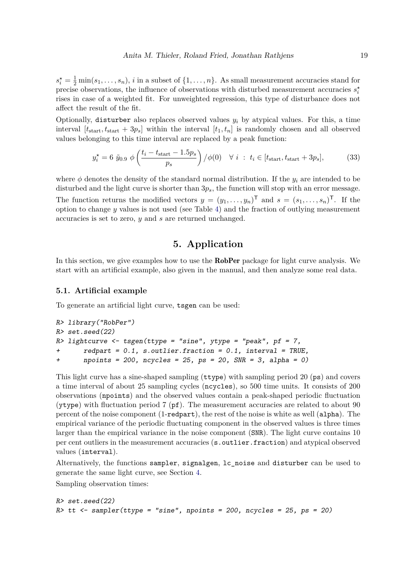$s_i^* = \frac{1}{2} \min(s_1, \ldots, s_n)$ , *i* in a subset of  $\{1, \ldots, n\}$ . As small measurement accuracies stand for precise observations, the influence of observations with disturbed measurement accuracies  $s_i^*$ rises in case of a weighted fit. For unweighted regression, this type of disturbance does not affect the result of the fit.

Optionally, disturber also replaces observed values  $y_i$  by atypical values. For this, a time interval  $[t_{\text{start}}, t_{\text{start}} + 3p_s]$  within the interval  $[t_1, t_n]$  is randomly chosen and all observed values belonging to this time interval are replaced by a peak function:

$$
y_i^* = 6 \,\,\tilde{y}_{0.9} \,\,\phi\left(\frac{t_i - t_{\text{start}} - 1.5p_s}{p_s}\right) \,/\phi(0) \quad \forall \,\, i \; : \; t_i \in [t_{\text{start}}, t_{\text{start}} + 3p_s],\tag{33}
$$

where  $\phi$  denotes the density of the standard normal distribution. If the  $y_i$  are intended to be disturbed and the light curve is shorter than 3*ps*, the function will stop with an error message. The function returns the modified vectors  $y = (y_1, \ldots, y_n)^\mathsf{T}$  and  $s = (s_1, \ldots, s_n)^\mathsf{T}$ . If the option to change *y* values is not used (see Table 4) and the fraction of outlying measurement accuracies is set to zero, *y* and *s* are returned unchanged.

### **5. Application**

In this section, we give examples how to use the **RobPer** package for light curve analysis. We start with an artificial example, also given in the manual, and then analyze some real data.

### **5.1. Artificial example**

To generate an artificial light curve, tsgen can be used:

```
R> library("RobPer")
R> set.seed(22)
R> lightcurve <- tsgen(ttype = "sine", ytype = "peak", pf = 7,
+ redpart = 0.1, s.outlier.fraction = 0.1, interval = TRUE,
+ npoints = 200, ncycles = 25, ps = 20, SNR = 3, alpha = 0)
```
This light curve has a sine-shaped sampling (ttype) with sampling period 20 (ps) and covers a time interval of about 25 sampling cycles (ncycles), so 500 time units. It consists of 200 observations (npoints) and the observed values contain a peak-shaped periodic fluctuation ( $y \text{type}$ ) with fluctuation period 7 ( $pf$ ). The measurement accuracies are related to about 90 percent of the noise component (1-redpart), the rest of the noise is white as well (alpha). The empirical variance of the periodic fluctuating component in the observed values is three times larger than the empirical variance in the noise component (SNR). The light curve contains 10 per cent outliers in the measurement accuracies (s.outlier.fraction) and atypical observed values (interval).

Alternatively, the functions sampler, signalgen, lc\_noise and disturber can be used to generate the same light curve, see Section 4.

Sampling observation times:

```
R> set.seed(22)
R> tt <- sampler(ttype = "sine", npoints = 200, ncycles = 25, ps = 20)
```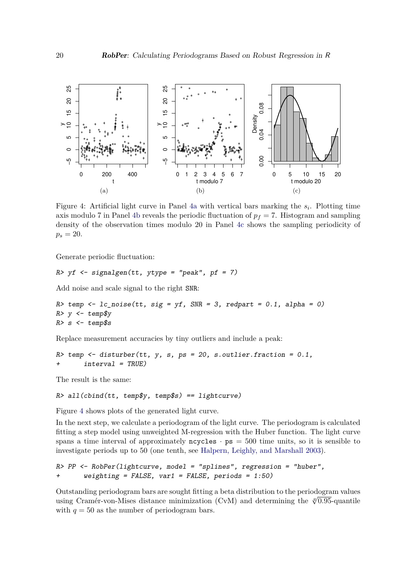

Figure 4: Artificial light curve in Panel 4a with vertical bars marking the *s<sup>i</sup>* . Plotting time axis modulo 7 in Panel 4b reveals the periodic fluctuation of  $p_f = 7$ . Histogram and sampling density of the observation times modulo 20 in Panel 4c shows the sampling periodicity of  $p_s = 20$ .

Generate periodic fluctuation:

```
R> yf <- signalgen(tt, ytype = "peak", pf = 7)
```
Add noise and scale signal to the right SNR:

*R> temp <- lc\_noise(tt, sig = yf, SNR = 3, redpart = 0.1, alpha = 0) R> y <- temp\$y R> s <- temp\$s*

Replace measurement accuracies by tiny outliers and include a peak:

*R> temp <- disturber(tt, y, s, ps = 20, s.outlier.fraction = 0.1, + interval = TRUE)*

The result is the same:

```
R> all(cbind(tt, temp$y, temp$s) == lightcurve)
```
Figure 4 shows plots of the generated light curve.

In the next step, we calculate a periodogram of the light curve. The periodogram is calculated fitting a step model using unweighted M-regression with the Huber function. The light curve spans a time interval of approximately  $n$ cycles  $\cdot$  ps = 500 time units, so it is sensible to investigate periods up to 50 (one tenth, see Halpern, Leighly, and Marshall 2003).

```
R> PP <- RobPer(lightcurve, model = "splines", regression = "huber",
+ weighting = FALSE, var1 = FALSE, periods = 1:50)
```
Outstanding periodogram bars are sought fitting a beta distribution to the periodogram values using Cramér-von-Mises distance minimization (CvM) and determining the <sup>√</sup>*<sup>q</sup>* 0*.*95-quantile with  $q = 50$  as the number of periodogram bars.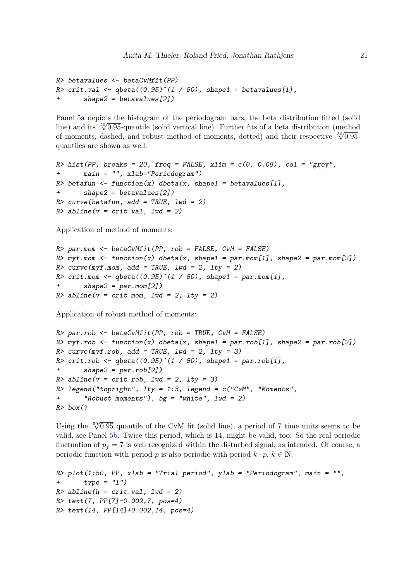```
R> betavalues <- betaCvMfit(PP)
R> crit.val <- qbeta((0.95)^(1 / 50), shape1 = betavalues[1],
       + shape2 = betavalues[2])
```
Panel 5a depicts the histogram of the periodogram bars, the beta distribution fitted (solid line) and its <sup>50</sup><sup>√</sup> 0*.*95-quantile (solid vertical line). Further fits of a beta distribution (method of moments, dashed, and robust method of moments, dotted) and their respective 50<sup>0</sup>.95-<br>
∴ quantiles are shown as well.

```
R> hist(PP, breaks = 20, freq = FALSE, xlim = c(0, 0.08), col = "grey",
+ main = "", xlab="Periodogram")
R> betafun <- function(x) dbeta(x, shape1 = betavalues[1],
       + shape2 = betavalues[2])
R> curve(betafun, add = TRUE, lwd = 2)
R> abline(v = crit.val, lwd = 2)
```
Application of method of moments:

```
R> par.mom <- betaCvMfit(PP, rob = FALSE, CvM = FALSE)
R> myf.mom <- function(x) dbeta(x, shape1 = par.mom[1], shape2 = par.mom[2])
R> curve(myf.mom, add = TRUE, lwd = 2, lty = 2)
R> crit.mom <- qbeta((0.95)^(1 / 50), shape1 = par.mom[1],
       + shape2 = par.mom[2])
R> abline(v = crit.mom, lwd = 2, lty = 2)
```
Application of robust method of moments:

```
R> par.rob <- betaCvMfit(PP, rob = TRUE, CvM = FALSE)
R> myf.rob <- function(x) dbeta(x, shape1 = par.rob[1], shape2 = par.rob[2])
R> curve(myf.rob, add = TRUE, lwd = 2, lty = 3)
R> crit.rob <- qbeta((0.95)^(1 / 50), shape1 = par.rob[1],
+ shape2 = par.rob[2])
R> abline(v = crit.rob, lwd = 2, lty = 3)
R> legend("topright", lty = 1:3, legend = c("CvM", "Moments",
+ "Robust moments"), bg = "white", lwd = 2)
R> box()
```
Using the  $\sqrt[50]{0.95}$  quantile of the CvM fit (solid line), a period of 7 time units seems to be valid, see Panel 5b. Twice this period, which is 14, might be valid, too. So the real periodic fluctuation of  $p_f = 7$  is well recognized within the disturbed signal, as intended. Of course, a periodic function with period *p* is also periodic with period  $k \cdot p$ ,  $k \in \mathbb{N}$ .

```
R> plot(1:50, PP, xlab = "Trial period", ylab = "Periodogram", main = "",
+ type = "l")
R> abline(h = crit.val, lwd = 2)
R> text(7, PP[7]-0.002,7, pos=4)
R> text(14, PP[14]+0.002,14, pos=4)
```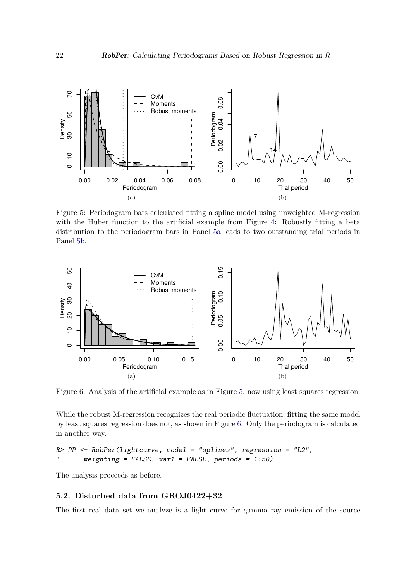

Figure 5: Periodogram bars calculated fitting a spline model using unweighted M-regression with the Huber function to the artificial example from Figure 4: Robustly fitting a beta distribution to the periodogram bars in Panel 5a leads to two outstanding trial periods in Panel 5b.



Figure 6: Analysis of the artificial example as in Figure 5, now using least squares regression.

While the robust M-regression recognizes the real periodic fluctuation, fitting the same model by least squares regression does not, as shown in Figure 6. Only the periodogram is calculated in another way.

```
R> PP <- RobPer(lightcurve, model = "splines", regression = "L2",
+ weighting = FALSE, var1 = FALSE, periods = 1:50)
```
The analysis proceeds as before.

### **5.2. Disturbed data from GROJ0422+32**

The first real data set we analyze is a light curve for gamma ray emission of the source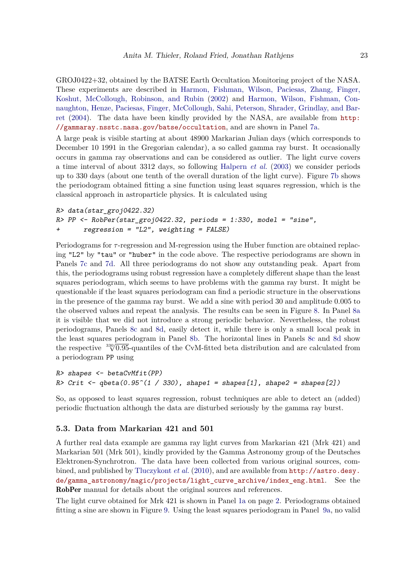GROJ0422+32, obtained by the BATSE Earth Occultation Monitoring project of the NASA. These experiments are described in Harmon, Fishman, Wilson, Paciesas, Zhang, Finger, Koshut, McCollough, Robinson, and Rubin (2002) and Harmon, Wilson, Fishman, Connaughton, Henze, Paciesas, Finger, McCollough, Sahi, Peterson, Shrader, Grindlay, and Barret (2004). The data have been kindly provided by the NASA, are available from [http:](http://gammaray.nsstc.nasa.gov/batse/occultation) [//gammaray.nsstc.nasa.gov/batse/occultation](http://gammaray.nsstc.nasa.gov/batse/occultation), and are shown in Panel 7a.

A large peak is visible starting at about 48900 Markarian Julian days (which corresponds to December 10 1991 in the Gregorian calendar), a so called gamma ray burst. It occasionally occurs in gamma ray observations and can be considered as outlier. The light curve covers a time interval of about 3312 days, so following Halpern *et al.* (2003) we consider periods up to 330 days (about one tenth of the overall duration of the light curve). Figure 7b shows the periodogram obtained fitting a sine function using least squares regression, which is the classical approach in astroparticle physics. It is calculated using

```
R> data(star_groj0422.32)
R> PP <- RobPer(star_groj0422.32, periods = 1:330, model = "sine",
+ regression = "L2", weighting = FALSE)
```
Periodograms for *τ* -regression and M-regression using the Huber function are obtained replacing "L2" by "tau" or "huber" in the code above. The respective periodograms are shown in Panels 7c and 7d. All three periodograms do not show any outstanding peak. Apart from this, the periodograms using robust regression have a completely different shape than the least squares periodogram, which seems to have problems with the gamma ray burst. It might be questionable if the least squares periodogram can find a periodic structure in the observations in the presence of the gamma ray burst. We add a sine with period 30 and amplitude 0.005 to the observed values and repeat the analysis. The results can be seen in Figure 8. In Panel 8a it is visible that we did not introduce a strong periodic behavior. Nevertheless, the robust periodograms, Panels 8c and 8d, easily detect it, while there is only a small local peak in the least squares periodogram in Panel 8b. The horizontal lines in Panels 8c and 8d show the respective <sup>330</sup><sup>√</sup> 0*.*95-quantiles of the CvM-fitted beta distribution and are calculated from a periodogram PP using

```
R> shapes <- betaCvMfit(PP)
R> Crit <- qbeta(0.95^(1 / 330), shape1 = shapes[1], shape2 = shapes[2])
```
So, as opposed to least squares regression, robust techniques are able to detect an (added) periodic fluctuation although the data are disturbed seriously by the gamma ray burst.

### **5.3. Data from Markarian 421 and 501**

A further real data example are gamma ray light curves from Markarian 421 (Mrk 421) and Markarian 501 (Mrk 501), kindly provided by the Gamma Astronomy group of the Deutsches Elektronen-Synchrotron. The data have been collected from various original sources, combined, and published by Tluczykont *et al.* (2010), and are available from [http://astro.desy.](http://astro.desy.de/gamma_astronomy/magic/projects/light_curve_archive/index_eng.html) [de/gamma\\_astronomy/magic/projects/light\\_curve\\_archive/index\\_eng.html](http://astro.desy.de/gamma_astronomy/magic/projects/light_curve_archive/index_eng.html). See the RobPer manual for details about the original sources and references.

The light curve obtained for Mrk 421 is shown in Panel 1a on page 2. Periodograms obtained fitting a sine are shown in Figure 9. Using the least squares periodogram in Panel 9a, no valid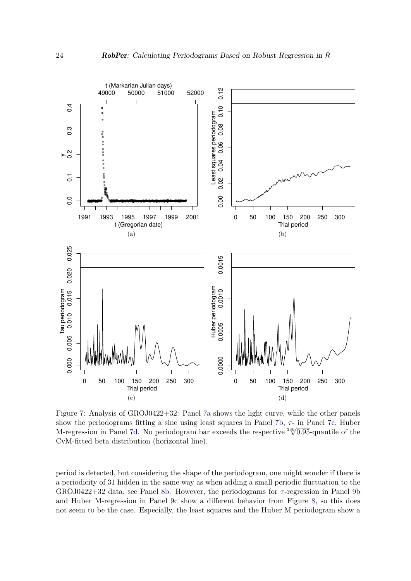

Figure 7: Analysis of GROJ0422+32: Panel 7a shows the light curve, while the other panels show the periodograms fitting a sine using least squares in Panel 7b,  $\tau$ - in Panel 7c, Huber M-regression in Panel 7d. No periodogram bar exceeds the respective <sup>330</sup><sup>√</sup> 0*.*95-quantile of the CvM-fitted beta distribution (horizontal line).

period is detected, but considering the shape of the periodogram, one might wonder if there is a periodicity of 31 hidden in the same way as when adding a small periodic fluctuation to the GROJ0422+32 data, see Panel 8b. However, the periodograms for *τ* -regression in Panel 9b and Huber M-regression in Panel 9c show a different behavior from Figure 8, so this does not seem to be the case. Especially, the least squares and the Huber M periodogram show a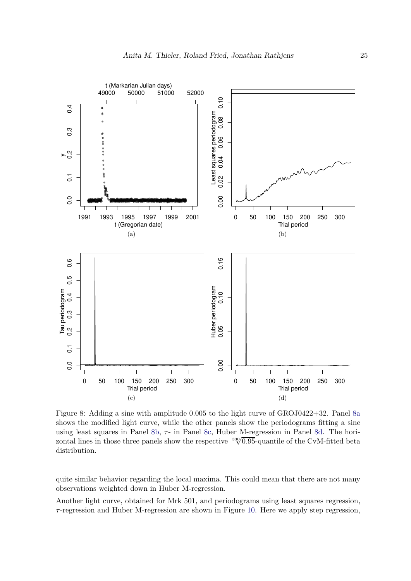

Figure 8: Adding a sine with amplitude 0.005 to the light curve of GROJ0422+32. Panel 8a shows the modified light curve, while the other panels show the periodograms fitting a sine using least squares in Panel 8b,  $τ$ - in Panel 8c, Huber M-regression in Panel 8d. The horizontal lines in those three panels show the respective  $\frac{3300.95}{10.95}$ -quantile of the CvM-fitted beta distribution.

quite similar behavior regarding the local maxima. This could mean that there are not many observations weighted down in Huber M-regression.

Another light curve, obtained for Mrk 501, and periodograms using least squares regression, *τ* -regression and Huber M-regression are shown in Figure 10. Here we apply step regression,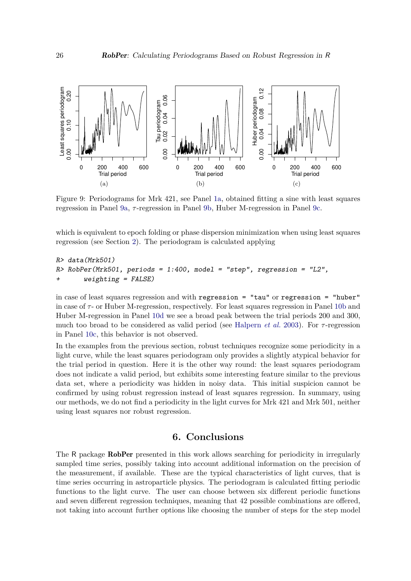

Figure 9: Periodograms for Mrk 421, see Panel 1a, obtained fitting a sine with least squares regression in Panel 9a, *τ* -regression in Panel 9b, Huber M-regression in Panel 9c.

which is equivalent to epoch folding or phase dispersion minimization when using least squares regression (see Section 2). The periodogram is calculated applying

```
R> data(Mrk501)
R> RobPer(Mrk501, periods = 1:400, model = "step", regression = "L2",
+ weighting = FALSE)
```
in case of least squares regression and with regression = "tau" or regression = "huber" in case of  $\tau$ - or Huber M-regression, respectively. For least squares regression in Panel 10b and Huber M-regression in Panel 10d we see a broad peak between the trial periods 200 and 300, much too broad to be considered as valid period (see Halpern *et al.* 2003). For *τ* -regression in Panel 10c, this behavior is not observed.

In the examples from the previous section, robust techniques recognize some periodicity in a light curve, while the least squares periodogram only provides a slightly atypical behavior for the trial period in question. Here it is the other way round: the least squares periodogram does not indicate a valid period, but exhibits some interesting feature similar to the previous data set, where a periodicity was hidden in noisy data. This initial suspicion cannot be confirmed by using robust regression instead of least squares regression. In summary, using our methods, we do not find a periodicity in the light curves for Mrk 421 and Mrk 501, neither using least squares nor robust regression.

# **6. Conclusions**

The R package RobPer presented in this work allows searching for periodicity in irregularly sampled time series, possibly taking into account additional information on the precision of the measurement, if available. These are the typical characteristics of light curves, that is time series occurring in astroparticle physics. The periodogram is calculated fitting periodic functions to the light curve. The user can choose between six different periodic functions and seven different regression techniques, meaning that 42 possible combinations are offered, not taking into account further options like choosing the number of steps for the step model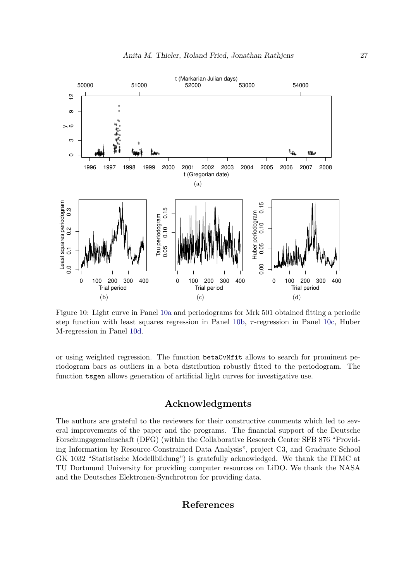

Figure 10: Light curve in Panel 10a and periodograms for Mrk 501 obtained fitting a periodic step function with least squares regression in Panel 10b, *τ* -regression in Panel 10c, Huber M-regression in Panel 10d.

or using weighted regression. The function betaCvMfit allows to search for prominent periodogram bars as outliers in a beta distribution robustly fitted to the periodogram. The function tsgen allows generation of artificial light curves for investigative use.

# **Acknowledgments**

The authors are grateful to the reviewers for their constructive comments which led to several improvements of the paper and the programs. The financial support of the Deutsche Forschungsgemeinschaft (DFG) (within the Collaborative Research Center SFB 876 "Providing Information by Resource-Constrained Data Analysis", project C3, and Graduate School GK 1032 "Statistische Modellbildung") is gratefully acknowledged. We thank the ITMC at TU Dortmund University for providing computer resources on LiDO. We thank the NASA and the Deutsches Elektronen-Synchrotron for providing data.

### **References**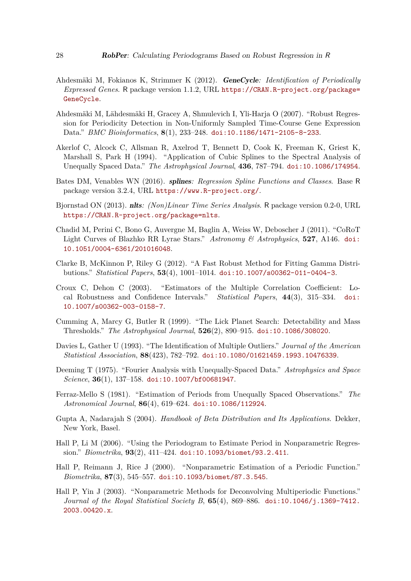- Ahdesmäki M, Fokianos K, Strimmer K (2012). GeneCycle*: Identification of Periodically Expressed Genes*. R package version 1.1.2, URL [https://CRAN.R-project.org/package=](https://CRAN.R-project.org/package=GeneCycle) [GeneCycle](https://CRAN.R-project.org/package=GeneCycle).
- Ahdesmäki M, Lähdesmäki H, Gracey A, Shmulevich I, Yli-Harja O (2007). "Robust Regression for Periodicity Detection in Non-Uniformly Sampled Time-Course Gene Expression Data." *BMC Bioinformatics*, **8**(1), 233–248. [doi:10.1186/1471-2105-8-233](https://doi.org/10.1186/1471-2105-8-233).
- Akerlof C, Alcock C, Allsman R, Axelrod T, Bennett D, Cook K, Freeman K, Griest K, Marshall S, Park H (1994). "Application of Cubic Splines to the Spectral Analysis of Unequally Spaced Data." *The Astrophysical Journal*, **436**, 787–794. [doi:10.1086/174954](https://doi.org/10.1086/174954).
- Bates DM, Venables WN (2016). splines*: Regression Spline Functions and Classes*. Base R package version 3.2.4, URL <https://www.R-project.org/>.
- Bjornstad ON (2013). nlts*: (Non)Linear Time Series Analysis*. R package version 0.2-0, URL <https://CRAN.R-project.org/package=nlts>.
- Chadid M, Perini C, Bono G, Auvergne M, Baglin A, Weiss W, Deboscher J (2011). "CoRoT Light Curves of Blazhko RR Lyrae Stars." *Astronomy & Astrophysics*, **527**, A146. [doi:](https://doi.org/10.1051/0004-6361/201016048) [10.1051/0004-6361/201016048](https://doi.org/10.1051/0004-6361/201016048).
- Clarke B, McKinnon P, Riley G (2012). "A Fast Robust Method for Fitting Gamma Distributions." *Statistical Papers*, **53**(4), 1001–1014. [doi:10.1007/s00362-011-0404-3](https://doi.org/10.1007/s00362-011-0404-3).
- Croux C, Dehon C (2003). "Estimators of the Multiple Correlation Coefficient: Local Robustness and Confidence Intervals." *Statistical Papers*, **44**(3), 315–334. [doi:](https://doi.org/10.1007/s00362-003-0158-7) [10.1007/s00362-003-0158-7](https://doi.org/10.1007/s00362-003-0158-7).
- Cumming A, Marcy G, Butler R (1999). "The Lick Planet Search: Detectability and Mass Thresholds." *The Astrophysical Journal*, **526**(2), 890–915. [doi:10.1086/308020](https://doi.org/10.1086/308020).
- Davies L, Gather U (1993). "The Identification of Multiple Outliers." *Journal of the American Statistical Association*, **88**(423), 782–792. [doi:10.1080/01621459.1993.10476339](https://doi.org/10.1080/01621459.1993.10476339).
- Deeming T (1975). "Fourier Analysis with Unequally-Spaced Data." *Astrophysics and Space Science*, **36**(1), 137–158. [doi:10.1007/bf00681947](https://doi.org/10.1007/bf00681947).
- Ferraz-Mello S (1981). "Estimation of Periods from Unequally Spaced Observations." *The Astronomical Journal*, **86**(4), 619–624. [doi:10.1086/112924](https://doi.org/10.1086/112924).
- Gupta A, Nadarajah S (2004). *Handbook of Beta Distribution and Its Applications*. Dekker, New York, Basel.
- Hall P, Li M (2006). "Using the Periodogram to Estimate Period in Nonparametric Regression." *Biometrika*, **93**(2), 411–424. [doi:10.1093/biomet/93.2.411](https://doi.org/10.1093/biomet/93.2.411).
- Hall P, Reimann J, Rice J (2000). "Nonparametric Estimation of a Periodic Function." *Biometrika*, **87**(3), 545–557. [doi:10.1093/biomet/87.3.545](https://doi.org/10.1093/biomet/87.3.545).
- Hall P, Yin J (2003). "Nonparametric Methods for Deconvolving Multiperiodic Functions." *Journal of the Royal Statistical Society B*, **65**(4), 869–886. [doi:10.1046/j.1369-7412.](https://doi.org/10.1046/j.1369-7412.2003.00420.x) [2003.00420.x](https://doi.org/10.1046/j.1369-7412.2003.00420.x).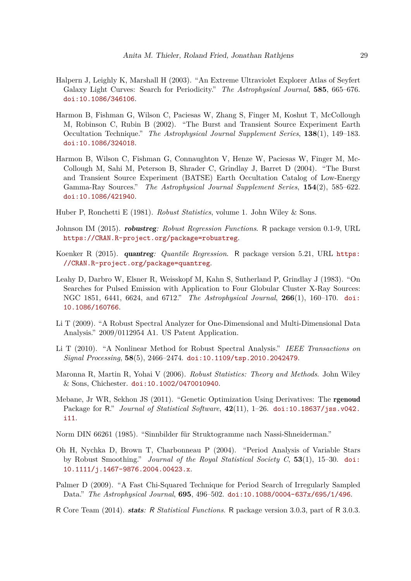- Halpern J, Leighly K, Marshall H (2003). "An Extreme Ultraviolet Explorer Atlas of Seyfert Galaxy Light Curves: Search for Periodicity." *The Astrophysical Journal*, **585**, 665–676. [doi:10.1086/346106](https://doi.org/10.1086/346106).
- Harmon B, Fishman G, Wilson C, Paciesas W, Zhang S, Finger M, Koshut T, McCollough M, Robinson C, Rubin B (2002). "The Burst and Transient Source Experiment Earth Occultation Technique." *The Astrophysical Journal Supplement Series*, **138**(1), 149–183. [doi:10.1086/324018](https://doi.org/10.1086/324018).
- Harmon B, Wilson C, Fishman G, Connaughton V, Henze W, Paciesas W, Finger M, Mc-Collough M, Sahi M, Peterson B, Shrader C, Grindlay J, Barret D (2004). "The Burst and Transient Source Experiment (BATSE) Earth Occultation Catalog of Low-Energy Gamma-Ray Sources." *The Astrophysical Journal Supplement Series*, **154**(2), 585–622. [doi:10.1086/421940](https://doi.org/10.1086/421940).
- Huber P, Ronchetti E (1981). *Robust Statistics*, volume 1. John Wiley & Sons.
- Johnson IM (2015). robustreg*: Robust Regression Functions*. R package version 0.1-9, URL <https://CRAN.R-project.org/package=robustreg>.
- Koenker R (2015). quantreg*: Quantile Regression*. R package version 5.21, URL [https:](https://CRAN.R-project.org/package=quantreg) [//CRAN.R-project.org/package=quantreg](https://CRAN.R-project.org/package=quantreg).
- Leahy D, Darbro W, Elsner R, Weisskopf M, Kahn S, Sutherland P, Grindlay J (1983). "On Searches for Pulsed Emission with Application to Four Globular Cluster X-Ray Sources: NGC 1851, 6441, 6624, and 6712." *The Astrophysical Journal*, **266**(1), 160–170. [doi:](https://doi.org/10.1086/160766) [10.1086/160766](https://doi.org/10.1086/160766).
- Li T (2009). "A Robust Spectral Analyzer for One-Dimensional and Multi-Dimensional Data Analysis." 2009/0112954 A1. US Patent Application.
- Li T (2010). "A Nonlinear Method for Robust Spectral Analysis." *IEEE Transactions on Signal Processing*, **58**(5), 2466–2474. [doi:10.1109/tsp.2010.2042479](https://doi.org/10.1109/tsp.2010.2042479).
- Maronna R, Martin R, Yohai V (2006). *Robust Statistics: Theory and Methods*. John Wiley & Sons, Chichester. [doi:10.1002/0470010940](https://doi.org/10.1002/0470010940).
- Mebane, Jr WR, Sekhon JS (2011). "Genetic Optimization Using Derivatives: The rgenoud Package for R." *Journal of Statistical Software*, **42**(11), 1–26. [doi:10.18637/jss.v042.](https://doi.org/10.18637/jss.v042.i11) [i11](https://doi.org/10.18637/jss.v042.i11).
- Norm DIN 66261 (1985). "Sinnbilder für Struktogramme nach Nassi-Shneiderman."
- Oh H, Nychka D, Brown T, Charbonneau P (2004). "Period Analysis of Variable Stars by Robust Smoothing." *Journal of the Royal Statistical Society C*, **53**(1), 15–30. [doi:](https://doi.org/10.1111/j.1467-9876.2004.00423.x) [10.1111/j.1467-9876.2004.00423.x](https://doi.org/10.1111/j.1467-9876.2004.00423.x).
- Palmer D (2009). "A Fast Chi-Squared Technique for Period Search of Irregularly Sampled Data." *The Astrophysical Journal*, **695**, 496–502. [doi:10.1088/0004-637x/695/1/496](https://doi.org/10.1088/0004-637x/695/1/496).
- R Core Team (2014). stats*:* R *Statistical Functions*. R package version 3.0.3, part of R 3.0.3.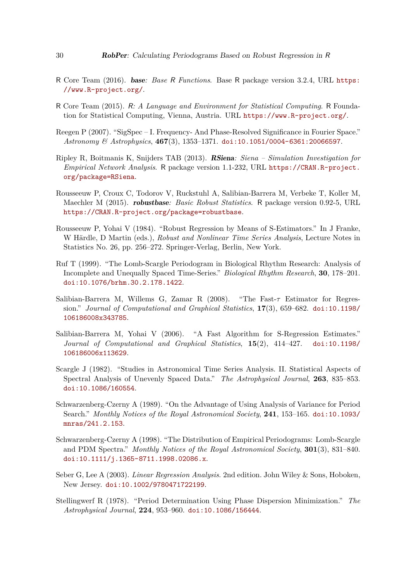- R Core Team (2016). base*: Base* R *Functions*. Base R package version 3.2.4, URL [https:](https://www.R-project.org/) [//www.R-project.org/](https://www.R-project.org/).
- R Core Team (2015). R*: A Language and Environment for Statistical Computing*. R Foundation for Statistical Computing, Vienna, Austria. URL <https://www.R-project.org/>.
- Reegen P (2007). "SigSpec I. Frequency- And Phase-Resolved Significance in Fourier Space." *Astronomy & Astrophysics*, **467**(3), 1353–1371. [doi:10.1051/0004-6361:20066597](https://doi.org/10.1051/0004-6361:20066597).
- Ripley R, Boitmanis K, Snijders TAB (2013). RSiena*: Siena Simulation Investigation for Empirical Network Analysis*. R package version 1.1-232, URL [https://CRAN.R-project.](https://CRAN.R-project.org/package=RSiena) [org/package=RSiena](https://CRAN.R-project.org/package=RSiena).
- Rousseeuw P, Croux C, Todorov V, Ruckstuhl A, Salibian-Barrera M, Verbeke T, Koller M, Maechler M (2015). robustbase*: Basic Robust Statistics*. R package version 0.92-5, URL <https://CRAN.R-project.org/package=robustbase>.
- Rousseeuw P, Yohai V (1984). "Robust Regression by Means of S-Estimators." In J Franke, W Härdle, D Martin (eds.), *Robust and Nonlinear Time Series Analysis*, Lecture Notes in Statistics No. 26, pp. 256–272. Springer-Verlag, Berlin, New York.
- Ruf T (1999). "The Lomb-Scargle Periodogram in Biological Rhythm Research: Analysis of Incomplete and Unequally Spaced Time-Series." *Biological Rhythm Research*, **30**, 178–201. [doi:10.1076/brhm.30.2.178.1422](https://doi.org/10.1076/brhm.30.2.178.1422).
- Salibian-Barrera M, Willems G, Zamar R (2008). "The Fast-*τ* Estimator for Regression." *Journal of Computational and Graphical Statistics*, **17**(3), 659–682. [doi:10.1198/](https://doi.org/10.1198/106186008x343785) [106186008x343785](https://doi.org/10.1198/106186008x343785).
- Salibian-Barrera M, Yohai V (2006). "A Fast Algorithm for S-Regression Estimates." *Journal of Computational and Graphical Statistics*, **15**(2), 414–427. [doi:10.1198/](https://doi.org/10.1198/106186006x113629) [106186006x113629](https://doi.org/10.1198/106186006x113629).
- Scargle J (1982). "Studies in Astronomical Time Series Analysis. II. Statistical Aspects of Spectral Analysis of Unevenly Spaced Data." *The Astrophysical Journal*, **263**, 835–853. [doi:10.1086/160554](https://doi.org/10.1086/160554).
- Schwarzenberg-Czerny A (1989). "On the Advantage of Using Analysis of Variance for Period Search." *Monthly Notices of the Royal Astronomical Society*, **241**, 153–165. [doi:10.1093/](https://doi.org/10.1093/mnras/241.2.153) [mnras/241.2.153](https://doi.org/10.1093/mnras/241.2.153).
- Schwarzenberg-Czerny A (1998). "The Distribution of Empirical Periodograms: Lomb-Scargle and PDM Spectra." *Monthly Notices of the Royal Astronomical Society*, **301**(3), 831–840. [doi:10.1111/j.1365-8711.1998.02086.x](https://doi.org/10.1111/j.1365-8711.1998.02086.x).
- Seber G, Lee A (2003). *Linear Regression Analysis*. 2nd edition. John Wiley & Sons, Hoboken, New Jersey. [doi:10.1002/9780471722199](https://doi.org/10.1002/9780471722199).
- Stellingwerf R (1978). "Period Determination Using Phase Dispersion Minimization." *The Astrophysical Journal*, **224**, 953–960. [doi:10.1086/156444](https://doi.org/10.1086/156444).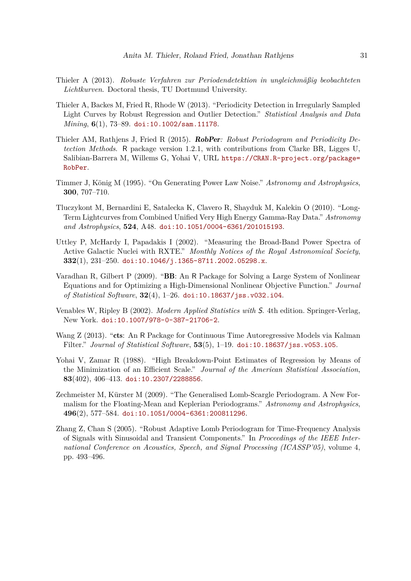- Thieler A (2013). *Robuste Verfahren zur Periodendetektion in ungleichmäßig beobachteten Lichtkurven*. Doctoral thesis, TU Dortmund University.
- Thieler A, Backes M, Fried R, Rhode W (2013). "Periodicity Detection in Irregularly Sampled Light Curves by Robust Regression and Outlier Detection." *Statistical Analysis and Data Mining*, **6**(1), 73–89. [doi:10.1002/sam.11178](https://doi.org/10.1002/sam.11178).
- Thieler AM, Rathjens J, Fried R (2015). RobPer*: Robust Periodogram and Periodicity Detection Methods*. R package version 1.2.1, with contributions from Clarke BR, Ligges U, Salibian-Barrera M, Willems G, Yohai V, URL [https://CRAN.R-project.org/package=](https://CRAN.R-project.org/package=RobPer) [RobPer](https://CRAN.R-project.org/package=RobPer).
- Timmer J, König M (1995). "On Generating Power Law Noise." *Astronomy and Astrophysics*, **300**, 707–710.
- Tluczykont M, Bernardini E, Satalecka K, Clavero R, Shayduk M, Kalekin O (2010). "Long-Term Lightcurves from Combined Unified Very High Energy Gamma-Ray Data." *Astronomy and Astrophysics*, **524**, A48. [doi:10.1051/0004-6361/201015193](https://doi.org/10.1051/0004-6361/201015193).
- Uttley P, McHardy I, Papadakis I (2002). "Measuring the Broad-Band Power Spectra of Active Galactic Nuclei with RXTE." *Monthly Notices of the Royal Astronomical Society*, **332**(1), 231–250. [doi:10.1046/j.1365-8711.2002.05298.x](https://doi.org/10.1046/j.1365-8711.2002.05298.x).
- Varadhan R, Gilbert P (2009). "BB: An R Package for Solving a Large System of Nonlinear Equations and for Optimizing a High-Dimensional Nonlinear Objective Function." *Journal of Statistical Software*, **32**(4), 1–26. [doi:10.18637/jss.v032.i04](https://doi.org/10.18637/jss.v032.i04).
- Venables W, Ripley B (2002). *Modern Applied Statistics with* S. 4th edition. Springer-Verlag, New York. [doi:10.1007/978-0-387-21706-2](https://doi.org/10.1007/978-0-387-21706-2).
- Wang Z (2013). "cts: An R Package for Continuous Time Autoregressive Models via Kalman Filter." *Journal of Statistical Software*, **53**(5), 1–19. [doi:10.18637/jss.v053.i05](https://doi.org/10.18637/jss.v053.i05).
- Yohai V, Zamar R (1988). "High Breakdown-Point Estimates of Regression by Means of the Minimization of an Efficient Scale." *Journal of the American Statistical Association*, **83**(402), 406–413. [doi:10.2307/2288856](https://doi.org/10.2307/2288856).
- Zechmeister M, Kürster M (2009). "The Generalised Lomb-Scargle Periodogram. A New Formalism for the Floating-Mean and Keplerian Periodograms." *Astronomy and Astrophysics*, **496**(2), 577–584. [doi:10.1051/0004-6361:200811296](https://doi.org/10.1051/0004-6361:200811296).
- Zhang Z, Chan S (2005). "Robust Adaptive Lomb Periodogram for Time-Frequency Analysis of Signals with Sinusoidal and Transient Components." In *Proceedings of the IEEE International Conference on Acoustics, Speech, and Signal Processing (ICASSP'05)*, volume 4, pp. 493–496.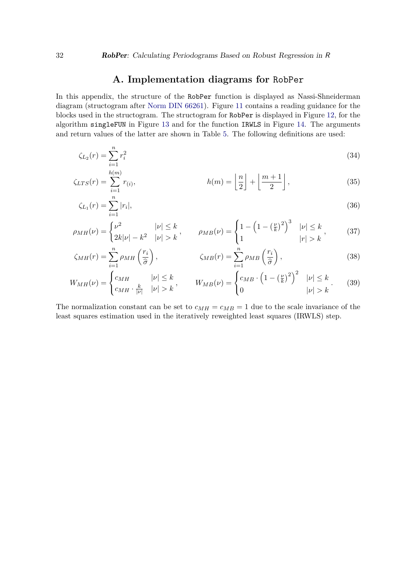# **A. Implementation diagrams for** RobPer

In this appendix, the structure of the RobPer function is displayed as Nassi-Shneiderman diagram (structogram after Norm DIN 66261). Figure 11 contains a reading guidance for the blocks used in the structogram. The structogram for RobPer is displayed in Figure 12, for the algorithm singleFUN in Figure 13 and for the function IRWLS in Figure 14. The arguments and return values of the latter are shown in Table 5. The following definitions are used:

$$
\zeta_{L_2}(r) = \sum_{i=1}^n r_i^2 \tag{34}
$$

$$
\zeta_{LTS}(r) = \sum_{i=1}^{h(m)} r_{(i)}, \qquad h(m) = \left\lfloor \frac{n}{2} \right\rfloor + \left\lfloor \frac{m+1}{2} \right\rfloor, \tag{35}
$$

$$
\zeta_{L_1}(r) = \sum_{i=1}^n |r_i|,\tag{36}
$$

$$
\rho_{MH}(\nu) = \begin{cases} \nu^2 & |\nu| \le k \\ 2k|\nu| - k^2 & |\nu| > k \end{cases}, \qquad \rho_{MB}(\nu) = \begin{cases} 1 - \left(1 - \left(\frac{\nu}{k}\right)^2\right)^3 & |\nu| \le k \\ 1 & |\nu| > k \end{cases}, \tag{37}
$$

$$
\zeta_{MH}(r) = \sum_{i=1}^{n} \rho_{MH}\left(\frac{r_i}{\hat{\sigma}}\right), \qquad \zeta_{MB}(r) = \sum_{i=1}^{n} \rho_{MB}\left(\frac{r_i}{\hat{\sigma}}\right), \qquad (38)
$$

$$
W_{MH}(\nu) = \begin{cases} c_{MH} & |\nu| \le k \\ c_{MH} \cdot \frac{k}{|\nu|} & |\nu| > k \end{cases}, \qquad W_{MB}(\nu) = \begin{cases} c_{MB} \cdot \left(1 - \left(\frac{\nu}{k}\right)^2\right)^2 & |\nu| \le k \\ 0 & |\nu| > k \end{cases}.
$$
 (39)

The normalization constant can be set to  $c_{MH} = c_{MB} = 1$  due to the scale invariance of the least squares estimation used in the iteratively reweighted least squares (IRWLS) step.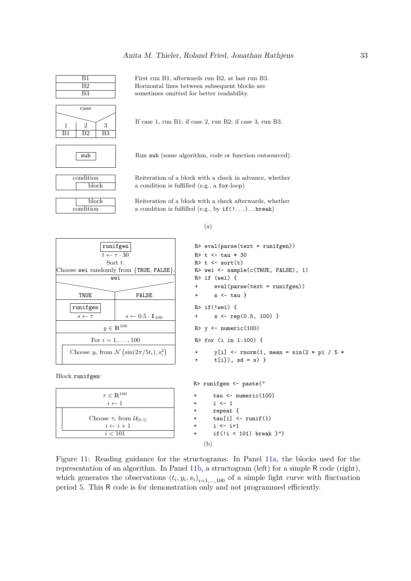

condition block

block condition

If case 1, run B1; if case 2, run B2; if case 3, run B3.

sub Run sub (some algorithm, code or function outsourced).

Reiteration of a block with a check in advance, whether a condition is fulfilled (e.g., a for-loop)

Reiteration of a block with a check afterwards, whether a condition is fulfilled (e.g., by if(!...)*. . .*break)

TRUE FALSE + s <- tau } runifgen | R> if(!wei) {  $y \in \mathbb{R}^{100}$ Choose  $y_i$  from  $\mathcal{N}\left(\sin(2\pi/5t_i), s_i^2\right)$ 

 $\tau \in \mathbb{R}^{100}$ 

 $i \leftarrow i + 1$ 

Block runifgen:



Figure 11: Reading guidance for the structograms: In Panel 11a, the blocks used for the representation of an algorithm. In Panel 11b, a structogram (left) for a simple R code (right), which generates the observations  $(t_i, y_i, s_i)_{i=1,\dots,100}$  of a simple light curve with fluctuation period 5. This R code is for demonstration only and not programmed efficiently.

*Anita M. Thieler, Roland Fried, Jonathan Rathjens* 33

First run B1, afterwards run B2, at last run B3. Horizontal lines between subsequent blocks are sometimes omitted for better readability.

(a)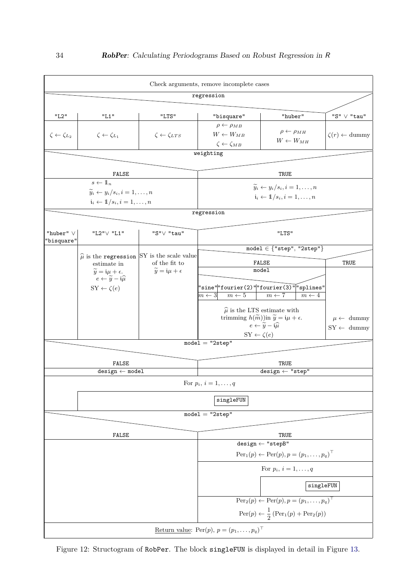

Figure 12: Structogram of RobPer. The block singleFUN is displayed in detail in Figure 13.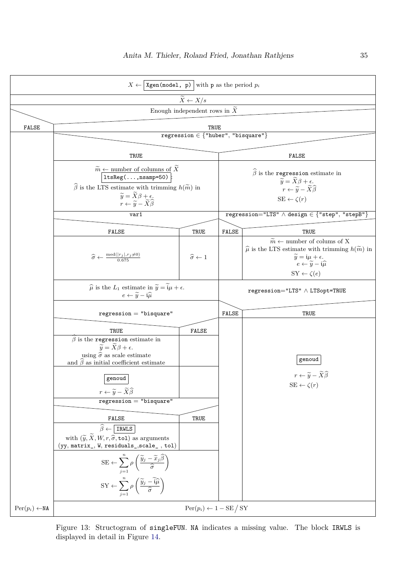

Figure 13: Structogram of singleFUN. NA indicates a missing value. The block IRWLS is displayed in detail in Figure 14.